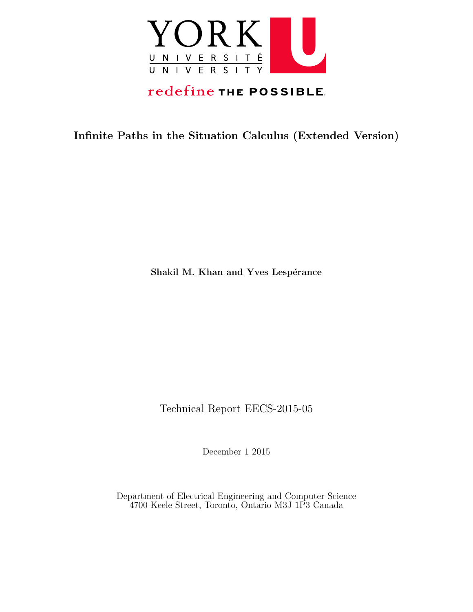

# redefine THE POSSIBLE.

Infinite Paths in the Situation Calculus (Extended Version)

Shakil M. Khan and Yves Lespérance

Technical Report EECS-2015-05

December 1 2015

Department of Electrical Engineering and Computer Science 4700 Keele Street, Toronto, Ontario M3J 1P3 Canada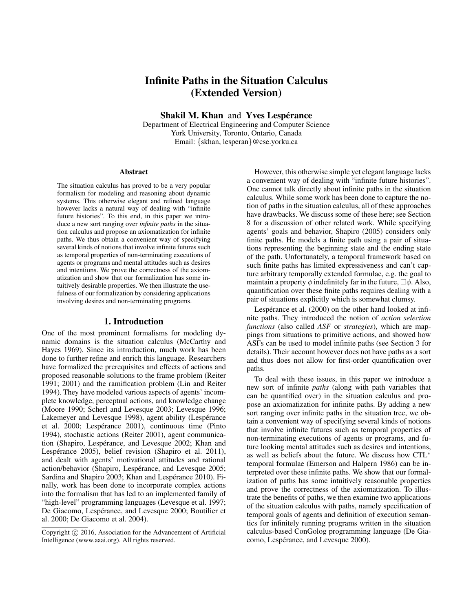# Infinite Paths in the Situation Calculus (Extended Version)

Shakil M. Khan and Yves Lespérance

Department of Electrical Engineering and Computer Science York University, Toronto, Ontario, Canada Email: {skhan, lesperan}@cse.yorku.ca

#### Abstract

The situation calculus has proved to be a very popular formalism for modeling and reasoning about dynamic systems. This otherwise elegant and refined language however lacks a natural way of dealing with "infinite future histories". To this end, in this paper we introduce a new sort ranging over *infinite paths* in the situation calculus and propose an axiomatization for infinite paths. We thus obtain a convenient way of specifying several kinds of notions that involve infinite futures such as temporal properties of non-terminating executions of agents or programs and mental attitudes such as desires and intentions. We prove the correctness of the axiomatization and show that our formalization has some intuitively desirable properties. We then illustrate the usefulness of our formalization by considering applications involving desires and non-terminating programs.

#### 1. Introduction

One of the most prominent formalisms for modeling dynamic domains is the situation calculus (McCarthy and Hayes 1969). Since its introduction, much work has been done to further refine and enrich this language. Researchers have formalized the prerequisites and effects of actions and proposed reasonable solutions to the frame problem (Reiter 1991; 2001) and the ramification problem (Lin and Reiter 1994). They have modeled various aspects of agents' incomplete knowledge, perceptual actions, and knowledge change (Moore 1990; Scherl and Levesque 2003; Levesque 1996; Lakemeyer and Levesque 1998), agent ability (Lespérance et al. 2000; Lespérance 2001), continuous time (Pinto 1994), stochastic actions (Reiter 2001), agent communication (Shapiro, Lespérance, and Levesque 2002; Khan and Lespérance 2005), belief revision (Shapiro et al. 2011), and dealt with agents' motivational attitudes and rational action/behavior (Shapiro, Lespérance, and Levesque 2005; Sardina and Shapiro 2003; Khan and Lespérance 2010). Finally, work has been done to incorporate complex actions into the formalism that has led to an implemented family of "high-level" programming languages (Levesque et al. 1997; De Giacomo, Lespérance, and Levesque 2000; Boutilier et al. 2000; De Giacomo et al. 2004).

However, this otherwise simple yet elegant language lacks a convenient way of dealing with "infinite future histories". One cannot talk directly about infinite paths in the situation calculus. While some work has been done to capture the notion of paths in the situation calculus, all of these approaches have drawbacks. We discuss some of these here; see Section 8 for a discussion of other related work. While specifying agents' goals and behavior, Shapiro (2005) considers only finite paths. He models a finite path using a pair of situations representing the beginning state and the ending state of the path. Unfortunately, a temporal framework based on such finite paths has limited expressiveness and can't capture arbitrary temporally extended formulae, e.g. the goal to maintain a property  $\phi$  indefinitely far in the future,  $\Box \phi$ . Also, quantification over these finite paths requires dealing with a pair of situations explicitly which is somewhat clumsy.

Lespérance et al. (2000) on the other hand looked at infinite paths. They introduced the notion of *action selection functions* (also called *ASF* or *strategies*), which are mappings from situations to primitive actions, and showed how ASFs can be used to model infinite paths (see Section 3 for details). Their account however does not have paths as a sort and thus does not allow for first-order quantification over paths.

To deal with these issues, in this paper we introduce a new sort of infinite *paths* (along with path variables that can be quantified over) in the situation calculus and propose an axiomatization for infinite paths. By adding a new sort ranging over infinite paths in the situation tree, we obtain a convenient way of specifying several kinds of notions that involve infinite futures such as temporal properties of non-terminating executions of agents or programs, and future looking mental attitudes such as desires and intentions, as well as beliefs about the future. We discuss how CTL<sup>∗</sup> temporal formulae (Emerson and Halpern 1986) can be interpreted over these infinite paths. We show that our formalization of paths has some intuitively reasonable properties and prove the correctness of the axiomatization. To illustrate the benefits of paths, we then examine two applications of the situation calculus with paths, namely specification of temporal goals of agents and definition of execution semantics for infinitely running programs written in the situation calculus-based ConGolog programming language (De Giacomo, Lespérance, and Levesque 2000).

Copyright  $\odot$  2016, Association for the Advancement of Artificial Intelligence (www.aaai.org). All rights reserved.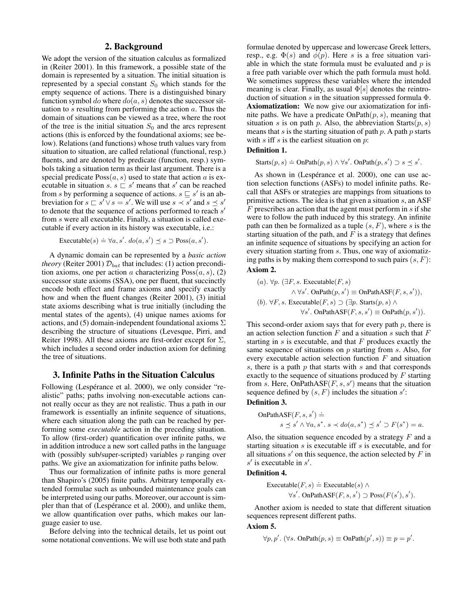# 2. Background

We adopt the version of the situation calculus as formalized in (Reiter 2001). In this framework, a possible state of the domain is represented by a situation. The initial situation is represented by a special constant  $S_0$  which stands for the empty sequence of actions. There is a distinguished binary function symbol do where  $do(a, s)$  denotes the successor situation to  $s$  resulting from performing the action  $a$ . Thus the domain of situations can be viewed as a tree, where the root of the tree is the initial situation  $S_0$  and the arcs represent actions (this is enforced by the foundational axioms; see below). Relations (and functions) whose truth values vary from situation to situation, are called relational (functional, resp.) fluents, and are denoted by predicate (function, resp.) symbols taking a situation term as their last argument. There is a special predicate  $Poss(a, s)$  used to state that action a is executable in situation  $s. s \subseteq s'$  means that s' can be reached from s by performing a sequence of actions.  $s \sqsubseteq s'$  is an abbreviation for  $s \sqsubset s' \vee s = s'$ . We will use  $s \prec s'$  and  $s \preceq s'$ to denote that the sequence of actions performed to reach  $s'$ from s were all executable. Finally, a situation is called executable if every action in its history was executable, i.e.:

$$
\text{Executeable}(s) \doteq \forall a, s'.\ do(a, s') \preceq s \supset \text{Poss}(a, s').
$$

A dynamic domain can be represented by a *basic action theory* (Reiter 2001)  $\mathcal{D}_{bat}$  that includes: (1) action precondition axioms, one per action a characterizing  $Poss(a, s)$ , (2) successor state axioms (SSA), one per fluent, that succinctly encode both effect and frame axioms and specify exactly how and when the fluent changes (Reiter 2001), (3) initial state axioms describing what is true initially (including the mental states of the agents), (4) unique names axioms for actions, and (5) domain-independent foundational axioms  $\Sigma$ describing the structure of situations (Levesque, Pirri, and Reiter 1998). All these axioms are first-order except for  $\Sigma$ , which includes a second order induction axiom for defining the tree of situations.

# 3. Infinite Paths in the Situation Calculus

Following (Lespérance et al. 2000), we only consider "realistic" paths; paths involving non-executable actions cannot really occur as they are not realistic. Thus a path in our framework is essentially an infinite sequence of situations, where each situation along the path can be reached by performing some *executable* action in the preceding situation. To allow (first-order) quantification over infinite paths, we in addition introduce a new sort called paths in the language with (possibly sub/super-scripted) variables  $p$  ranging over paths. We give an axiomatization for infinite paths below.

Thus our formalization of infinite paths is more general than Shapiro's (2005) finite paths. Arbitrary temporally extended formulae such as unbounded maintenance goals can be interpreted using our paths. Moreover, our account is simpler than that of (Lespérance et al. 2000), and unlike them, we allow quantification over paths, which makes our language easier to use.

Before delving into the technical details, let us point out some notational conventions. We will use both state and path

formulae denoted by uppercase and lowercase Greek letters, resp., e.g.  $\Phi(s)$  and  $\phi(p)$ . Here s is a free situation variable in which the state formula must be evaluated and  $p$  is a free path variable over which the path formula must hold. We sometimes suppress these variables where the intended meaning is clear. Finally, as usual  $\Phi[s]$  denotes the reintroduction of situation s in the situation suppressed formula  $\Phi$ . Axiomatization: We now give our axiomatization for infinite paths. We have a predicate  $OnPath(p, s)$ , meaning that situation s is on path p. Also, the abbreviation  $Starts(p, s)$ means that s is the starting situation of path  $p$ . A path  $p$  starts with  $s$  iff  $s$  is the earliest situation on  $p$ :

#### Definition 1.

Starts $(p, s) \doteq$  OnPath $(p, s) \wedge \forall s'$ . OnPath $(p, s') \supset s \preceq s'$ .

As shown in (Lespérance et al. 2000), one can use action selection functions (ASFs) to model infinite paths. Recall that ASFs or strategies are mappings from situations to primitive actions. The idea is that given a situation  $s$ , an ASF  $F$  prescribes an action that the agent must perform in  $s$  if she were to follow the path induced by this strategy. An infinite path can then be formalized as a tuple  $(s, F)$ , where s is the starting situation of the path, and  $F$  is a strategy that defines an infinite sequence of situations by specifying an action for every situation starting from s. Thus, one way of axiomatizing paths is by making them correspond to such pairs  $(s, F)$ : Axiom 2.

\n- (a). 
$$
\forall p. (\exists F, s. \text{ Executive}(F, s) \land \forall s'. \text{OnPath}(p, s') \equiv \text{OnPathASF}(F, s, s')),
$$
\n- (b).  $\forall F, s. \text{Executeable}(F, s) \supset (\exists p. \text{Starts}(p, s) \land \forall s'. \text{OnPathASF}(F, s, s') \equiv \text{OnPath}(p, s')).$
\n

This second-order axiom says that for every path  $p$ , there is an action selection function  $F$  and a situation  $s$  such that  $F$ starting in  $s$  is executable, and that  $F$  produces exactly the same sequence of situations on  $p$  starting from  $s$ . Also, for every executable action selection function  $F$  and situation s, there is a path  $p$  that starts with  $s$  and that corresponds exactly to the sequence of situations produced by  $F$  starting from s. Here, OnPathASF $(F, s, s')$  means that the situation sequence defined by  $(s, F)$  includes the situation s':

#### Definition 3.

OnPathASF
$$
(F, s, s')
$$
  $\doteq$   
 $s \preceq s' \land \forall a, s^*, s \prec do(a, s^*) \preceq s' \supset F(s^*) = a.$ 

Also, the situation sequence encoded by a strategy  $F$  and a starting situation  $s$  is executable iff  $s$  is executable, and for all situations  $s'$  on this sequence, the action selected by  $F$  in  $s'$  is executable in  $s'$ .

## Definition 4.

$$
\begin{aligned} \text{Executeable}(F, s) &= \text{Executeable}(s) \land \\ \forall s'. \text{ OnPathASF}(F, s, s') \supset \text{Poss}(F(s'), s'). \end{aligned}
$$

Another axiom is needed to state that different situation sequences represent different paths.

#### Axiom 5.

$$
\forall p, p'. (\forall s. \text{ OnPath}(p, s) \equiv \text{OnPath}(p', s)) \equiv p = p'.
$$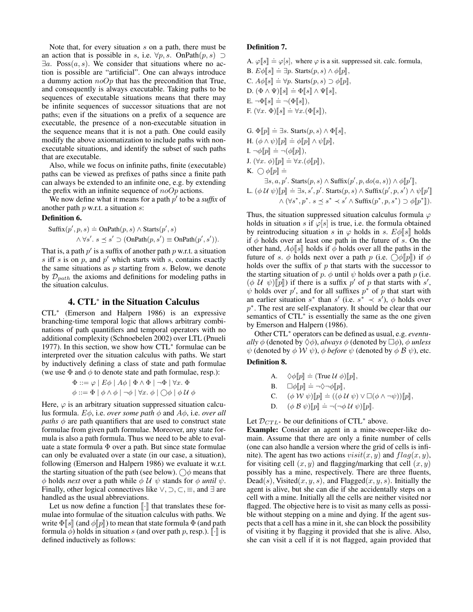Note that, for every situation s on a path, there must be an action that is possible in s, i.e.  $\forall p, s$ . OnPath $(p, s) \supset$  $\exists a$ . Poss $(a, s)$ . We consider that situations where no action is possible are "artificial". One can always introduce a dummy action  $noOp$  that has the precondition that True, and consequently is always executable. Taking paths to be sequences of executable situations means that there may be infinite sequences of successor situations that are not paths; even if the situations on a prefix of a sequence are executable, the presence of a non-executable situation in the sequence means that it is not a path. One could easily modify the above axiomatization to include paths with nonexecutable situations, and identify the subset of such paths that are executable.

Also, while we focus on infinite paths, finite (executable) paths can be viewed as prefixes of paths since a finite path can always be extended to an infinite one, e.g. by extending the prefix with an infinite sequence of  $noOp$  actions.

We now define what it means for a path  $p'$  to be a *suffix* of another path  $p$  w.r.t. a situation  $s$ :

# Definition 6.

$$
Suffix(p', p, s) \doteq \text{OnPath}(p, s) \land \text{Starts}(p', s)
$$

$$
\land \forall s'. s \leq s' \supset (\text{OnPath}(p, s') \equiv \text{OnPath}(p', s')).
$$

That is, a path  $p'$  is a suffix of another path  $p$  w.r.t. a situation s iff s is on  $p$ , and  $p'$  which starts with s, contains exactly the same situations as  $p$  starting from  $s$ . Below, we denote by  $\mathcal{D}_{path}$  the axioms and definitions for modeling paths in the situation calculus.

# 4. CTL<sup>∗</sup> in the Situation Calculus

CTL<sup>∗</sup> (Emerson and Halpern 1986) is an expressive branching-time temporal logic that allows arbitrary combinations of path quantifiers and temporal operators with no additional complexity (Schnoebelen 2002) over LTL (Pnueli 1977). In this section, we show how CTL<sup>∗</sup> formulae can be interpreted over the situation calculus with paths. We start by inductively defining a class of state and path formulae (we use  $\Phi$  and  $\phi$  to denote state and path formulae, resp.):

$$
\Phi ::= \varphi \mid E\phi \mid A\phi \mid \Phi \land \Phi \mid \neg \Phi \mid \forall x. \Phi
$$
  

$$
\phi ::= \Phi \mid \phi \land \phi \mid \neg \phi \mid \forall x. \phi \mid \bigcirc \phi \mid \phi \mathcal{U} \phi
$$

Here,  $\varphi$  is an arbitrary situation suppressed situation calculus formula.  $E\phi$ , i.e. *over some path*  $\phi$  and  $A\phi$ , i.e. *over all paths*  $\phi$  are path quantifiers that are used to construct state formulae from given path formulae. Moreover, any state formula is also a path formula. Thus we need to be able to evaluate a state formula  $\Phi$  over a path. But since state formulae can only be evaluated over a state (in our case, a situation), following (Emerson and Halpern 1986) we evaluate it w.r.t. the starting situation of the path (see below).  $\bigcirc$  means that  $\phi$  holds *next* over a path while  $\phi$  U  $\psi$  stands for  $\phi$  *until*  $\psi$ . Finally, other logical connectives like  $\vee$ ,  $\supset$ ,  $\subseteq$ ,  $\equiv$ , and  $\exists$  are handled as the usual abbreviations.

Let us now define a function  $\lbrack \cdot \rbrack$  that translates these formulae into formulae of the situation calculus with paths. We write  $\Phi$ [s] (and  $\phi$ [p]) to mean that state formula  $\Phi$  (and path formula  $\phi$ ) holds in situation s (and over path p, resp.).  $\lbrack \cdot \rbrack$  is defined inductively as follows:

#### Definition 7.

- A.  $\varphi$ [s]  $\doteq \varphi$ [s], where  $\varphi$  is a sit. suppressed sit. calc. formula,
- B.  $E\phi[[s]] \doteq \exists p$ . Starts $(p, s) \wedge \phi[[p]]$ ,  $C. A\phi$   $[s] \doteq \forall p.$  Starts $(p, s) \supset \phi$   $[p],$  $\mathbf{D}.(\Phi \wedge \Psi)[s] \doteq \Phi[s] \wedge \Psi[s],$  $\mathbf{E} \cdot \neg \Phi[s] \doteq \neg (\Phi[s]),$ F.  $(\forall x. \ \Phi)[\![s]\!] \doteq \forall x.(\Phi[\![s]\!]),$

G.  $\Phi[\![p]\!] \doteq \exists s$ . Starts $(p, s) \wedge \Phi[\![s]\!],$  $H.$   $(\phi \wedge \psi)[p] \doteq \phi[p] \wedge \psi[p],$  $\mathbf{I} \cdot \neg \phi \llbracket p \rrbracket = \neg (\phi \llbracket p \rrbracket),$  $J. (\forall x. \phi)[p] \doteq \forall x.(\phi[p]),$  $K. \bigcirc \phi[p] =$  $\exists s, a, p'$ . Starts $(p, s) \wedge$  Suffix $(p', p, do(a, s)) \wedge \phi[p']$ , L.  $(\phi U \psi)[p] \doteq \exists s, s', p'$ . Starts $(p, s) \wedge$  Suffix $(p', p, s') \wedge \psi[p]$  $\wedge (\forall s^*, p^*. s \leq s^* \prec s' \wedge \text{Suffix}(p^*, p, s^*) \supset \phi[[p^*]].$ 

Thus, the situation suppressed situation calculus formula  $\varphi$ holds in situation s if  $\varphi[s]$  is true, i.e. the formula obtained by reintroducing situation s in  $\varphi$  holds in s.  $E\phi$  holds if  $\phi$  holds over at least one path in the future of s. On the other hand,  $A\phi$ [s] holds if  $\phi$  holds over all the paths in the future of s.  $\phi$  holds next over a path p (i.e.  $\Diamond \phi$ [p]) if  $\phi$ holds over the suffix of  $p$  that starts with the successor to the starting situation of p.  $\phi$  until  $\psi$  holds over a path p (i.e.  $(\phi \mathcal{U} \psi)[p]$  if there is a suffix p' of p that starts with s',<br>
wholds over n' and for all suffixes n<sup>\*</sup> of p that start with  $\psi$  holds over p', and for all suffixes  $p^*$  of p that start with an earlier situation  $s^*$  than  $s'$  (i.e.  $s^* \prec s'$ ),  $\phi$  holds over p<sup>\*</sup>. The rest are self-explanatory. It should be clear that our semantics of CTL<sup>\*</sup> is essentially the same as the one given by Emerson and Halpern (1986).

Other CTL<sup>∗</sup> operators can be defined as usual, e.g. *eventually*  $\phi$  (denoted by  $\Diamond \phi$ ), *always*  $\phi$  (denoted by  $\Box \phi$ ),  $\phi$  *unless*  $\psi$  (denoted by  $\phi$  W  $\psi$ ),  $\phi$  *before*  $\psi$  (denoted by  $\phi$   $\beta$   $\psi$ ), etc.

# Definition 8.

A. 
$$
\diamond \phi[[p]] \doteq (\text{True } U \phi)[[p]],
$$
  
\nB.  $\Box \phi[[p]] \doteq \neg \diamond \neg \phi[[p]],$   
\nC.  $(\phi \mathcal{W} \psi)[[p]] \doteq ((\phi \mathcal{U} \psi) \vee \Box(\phi \wedge \neg \psi))[[p]],$ 

**D.**  $(\phi \mathcal{B} \psi)[p] \doteq \neg(\neg \phi \mathcal{U} \psi)[p].$ 

Let  $\mathcal{D}_{CTL^*}$  be our definitions of CTL<sup>\*</sup> above.

Example: Consider an agent in a mine-sweeper-like domain. Assume that there are only a finite number of cells (one can also handle a version where the grid of cells is infinite). The agent has two actions  $visit(x, y)$  and  $flag(x, y)$ , for visiting cell  $(x, y)$  and flagging/marking that cell  $(x, y)$ possibly has a mine, respectively. There are three fluents, Dead(s), Visited(x, y, s), and Flagged(x, y, s). Initially the agent is alive, but she can die if she accidentally steps on a cell with a mine. Initially all the cells are neither visited nor flagged. The objective here is to visit as many cells as possible without stepping on a mine and dying. If the agent suspects that a cell has a mine in it, she can block the possibility of visiting it by flagging it provided that she is alive. Also, she can visit a cell if it is not flagged, again provided that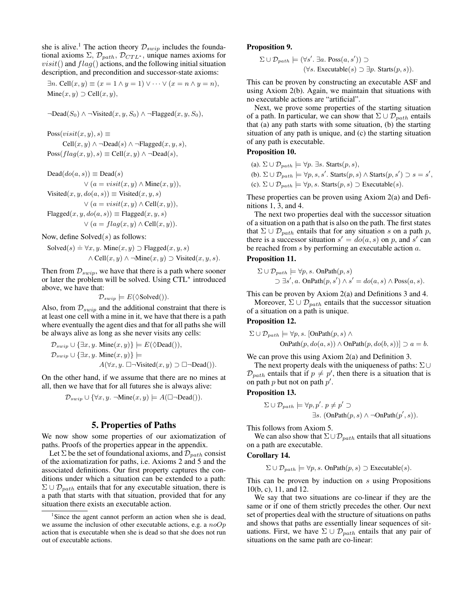she is alive.<sup>1</sup> The action theory  $\mathcal{D}_{swin}$  includes the foundational axioms  $\Sigma$ ,  $\mathcal{D}_{path}$ ,  $\mathcal{D}_{CTL^*}$ , unique names axioms for  $visit()$  and  $flag()$  actions, and the following initial situation description, and precondition and successor-state axioms:

 $\exists n. \text{Cell}(x, y) \equiv (x = 1 \land y = 1) \lor \dots \lor (x = n \land y = n),$ Mine $(x, y)$   $\supset$  Cell $(x, y)$ ,

$$
\neg \text{Dead}(S_0) \land \neg \text{Visited}(x, y, S_0) \land \neg \text{Flagged}(x, y, S_0),
$$

 $Poss(visit(x, y), s) \equiv$ Cell $(x, y) \wedge \neg$ Dead $(s) \wedge \neg$ Flagged $(x, y, s)$ ,  $Poss(flag(x, y), s) \equiv Cell(x, y) \land \neg Dead(s),$ 

$$
Dead(do(a, s)) \equiv Dead(s)
$$
  
\n
$$
\vee (a = visit(x, y) \land \text{Mine}(x, y)),
$$
  
\n
$$
\text{Visited}(x, y, do(a, s)) \equiv \text{Visited}(x, y, s)
$$
  
\n
$$
\vee (a = visit(x, y) \land \text{Cell}(x, y)),
$$
  
\n
$$
\text{Flagged}(x, y, do(a, s)) \equiv \text{Flagged}(x, y, s)
$$
  
\n
$$
\vee (a = flag(x, y) \land \text{Cell}(x, y)).
$$

Now, define  $Solved(s)$  as follows:

Solved(s) 
$$
\doteq \forall x, y
$$
.  $\text{Mine}(x, y) \supset \text{Flagged}(x, y, s)$   
 $\wedge \text{Cell}(x, y) \wedge \neg \text{Mine}(x, y) \supset \text{Visited}(x, y, s)$ .

Then from  $\mathcal{D}_{swin}$ , we have that there is a path where sooner or later the problem will be solved. Using CTL<sup>∗</sup> introduced above, we have that:

 $\mathcal{D}_{swin} \models E(\Diamond \text{Solved})).$ 

Also, from  $\mathcal{D}_{swin}$  and the additional constraint that there is at least one cell with a mine in it, we have that there is a path where eventually the agent dies and that for all paths she will be always alive as long as she never visits any cells:

$$
\begin{aligned} \mathcal{D}_{s w i p} &\cup \{\exists x, y . \text{ Mine}(x, y)\} \models E(\Diamond \text{Dead}()); \\ \mathcal{D}_{s w i p} &\cup \{\exists x, y . \text{ Mine}(x, y)\} \models \\ &A(\forall x, y . \; \Box \neg \text{Visited}(x, y) \supset \Box \neg \text{Dead})). \end{aligned}
$$

On the other hand, if we assume that there are no mines at all, then we have that for all futures she is always alive:

$$
\mathcal{D}_{\text{supp}} \cup \{\forall x, y. \ \neg \text{Mine}(x, y) \models A(\Box \neg \text{Dead})).
$$

#### 5. Properties of Paths

We now show some properties of our axiomatization of paths. Proofs of the properties appear in the appendix.

Let  $\Sigma$  be the set of foundational axioms, and  $\mathcal{D}_{path}$  consist of the axiomatization for paths, i.e. Axioms 2 and 5 and the associated definitions. Our first property captures the conditions under which a situation can be extended to a path:  $\Sigma \cup \mathcal{D}_{path}$  entails that for any executable situation, there is a path that starts with that situation, provided that for any situation there exists an executable action.

#### Proposition 9.

$$
\Sigma \cup \mathcal{D}_{path} \models (\forall s'. \exists a. \text{Poss}(a, s')) \supset
$$
  

$$
(\forall s. \text{Executeable}(s) \supset \exists p. \text{Starts}(p, s)).
$$

This can be proven by constructing an executable ASF and using Axiom 2(b). Again, we maintain that situations with no executable actions are "artificial".

Next, we prove some properties of the starting situation of a path. In particular, we can show that  $\Sigma \cup \mathcal{D}_{path}$  entails that (a) any path starts with some situation, (b) the starting situation of any path is unique, and (c) the starting situation of any path is executable.

# Proposition 10.

(a).  $\Sigma \cup \mathcal{D}_{path} \models \forall p. \exists s. \text{Starts}(p, s),$ 

(b).  $\Sigma \cup \mathcal{D}_{path} \models \forall p, s, s'$ . Starts $(p, s) \land$  Starts $(p, s') \supset s = s'$ , (c).  $\Sigma \cup \mathcal{D}_{path} \models \forall p, s$ . Starts $(p, s) \supset$  Executable $(s)$ .

These properties can be proven using Axiom 2(a) and Definitions 1, 3, and 4.

The next two properties deal with the successor situation of a situation on a path that is also on the path. The first states that  $\Sigma \cup \mathcal{D}_{path}$  entails that for any situation s on a path p, there is a successor situation  $s' = do(a, s)$  on p, and s' can be reached from s by performing an executable action a.

#### Proposition 11.

$$
\Sigma \cup \mathcal{D}_{path} \models \forall p, s. \text{ OnPath}(p, s)
$$
  

$$
\supset \exists s', a. \text{ OnPath}(p, s') \land s' = do(a, s) \land \text{Poss}(a, s).
$$

This can be proven by Axiom 2(a) and Definitions 3 and 4. Moreover,  $\Sigma \cup \mathcal{D}_{path}$  entails that the successor situation of a situation on a path is unique.

#### Proposition 12.

$$
\Sigma \cup \mathcal{D}_{path} \models \forall p, s. \ [\text{OnPath}(p, s) \land \text{OnPath}(p, do(b, s))] \supset a = b.
$$

We can prove this using Axiom 2(a) and Definition 3.

The next property deals with the uniqueness of paths: Σ∪  $\mathcal{D}_{path}$  entails that if  $p \neq p'$ , then there is a situation that is on path  $p$  but not on path  $p'$ .

Proposition 13.

$$
\Sigma \cup \mathcal{D}_{path} \models \forall p, p'. p \neq p' \supset
$$
  

$$
\exists s. \text{ (OnPath}(p, s) \land \neg \text{OnPath}(p', s)).
$$

This follows from Axiom 5.

We can also show that  $\Sigma \cup \mathcal{D}_{path}$  entails that all situations on a path are executable.

#### Corollary 14.

$$
\Sigma \cup \mathcal{D}_{path} \models \forall p, s. \text{ OnPath}(p, s) \supset \text{Executeable}(s).
$$

This can be proven by induction on s using Propositions 10(b, c), 11, and 12.

We say that two situations are co-linear if they are the same or if one of them strictly precedes the other. Our next set of properties deal with the structure of situations on paths and shows that paths are essentially linear sequences of situations. First, we have  $\Sigma \cup \mathcal{D}_{path}$  entails that any pair of situations on the same path are co-linear:

<sup>&</sup>lt;sup>1</sup>Since the agent cannot perform an action when she is dead, we assume the inclusion of other executable actions, e.g. a  $noOp$ action that is executable when she is dead so that she does not run out of executable actions.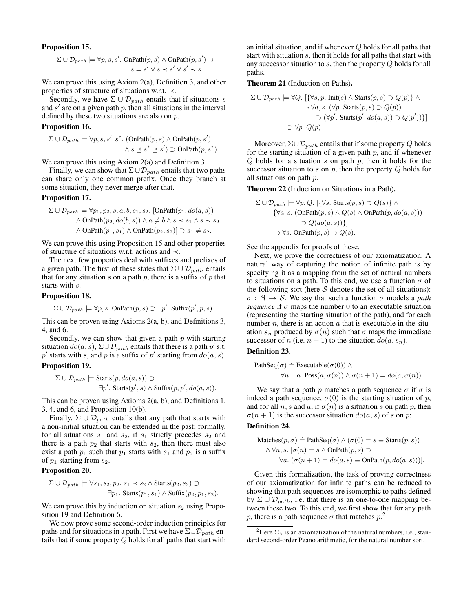#### Proposition 15.

$$
\Sigma \cup \mathcal{D}_{path} \models \forall p, s, s'. \text{ OnPath}(p, s) \land \text{OnPath}(p, s') \supset s = s' \lor s \prec s' \lor s' \prec s.
$$

We can prove this using Axiom 2(a), Definition 3, and other properties of structure of situations w.r.t. ≺.

Secondly, we have  $\Sigma \cup \mathcal{D}_{path}$  entails that if situations s and  $s'$  are on a given path  $p$ , then all situations in the interval defined by these two situations are also on p.

#### Proposition 16.

$$
\Sigma \cup \mathcal{D}_{path} \models \forall p, s, s', s^*. \text{ (OnPath}(p, s) \land \text{OnPath}(p, s')
$$

$$
\land s \preceq s^* \preceq s') \supset \text{OnPath}(p, s^*).
$$

We can prove this using Axiom 2(a) and Definition 3.

Finally, we can show that  $\Sigma \cup \mathcal{D}_{path}$  entails that two paths can share only one common prefix. Once they branch at some situation, they never merge after that.

#### Proposition 17.

$$
\Sigma \cup \mathcal{D}_{path} \models \forall p_1, p_2, s, a, b, s_1, s_2. \text{[OnPath}(p_1, do(a, s)) \land \text{OnPath}(p_2, do(b, s)) \land a \neq b \land s \prec s_1 \land s \prec s_2 \land \text{OnPath}(p_1, s_1) \land \text{OnPath}(p_2, s_2) \supset s_1 \neq s_2.
$$

We can prove this using Proposition 15 and other properties of structure of situations w.r.t. actions and ≺.

The next few properties deal with suffixes and prefixes of a given path. The first of these states that  $\Sigma \cup \mathcal{D}_{path}$  entails that for any situation s on a path  $p$ , there is a suffix of  $p$  that starts with s.

#### Proposition 18.

$$
\Sigma \cup \mathcal{D}_{path} \models \forall p, s. \text{ OnPath}(p, s) \supset \exists p'. \text{ Suffix}(p', p, s).
$$

This can be proven using Axioms 2(a, b), and Definitions 3, 4, and 6.

Secondly, we can show that given a path  $p$  with starting situation  $do(a, s)$ ,  $\Sigma \cup \mathcal{D}_{path}$  entails that there is a path  $p'$  s.t. p' starts with s, and p is a suffix of p' starting from  $do(a, s)$ .

#### Proposition 19.

$$
\Sigma \cup \mathcal{D}_{path} \models \text{Starts}(p, do(a, s)) \supset
$$
  

$$
\exists p'.
$$
Starts(p', s) \land \text{Suffix}(p, p', do(a, s)).

This can be proven using Axioms 2(a, b), and Definitions 1, 3, 4, and 6, and Proposition 10(b).

Finally,  $\Sigma \cup \mathcal{D}_{path}$  entails that any path that starts with a non-initial situation can be extended in the past; formally, for all situations  $s_1$  and  $s_2$ , if  $s_1$  strictly precedes  $s_2$  and there is a path  $p_2$  that starts with  $s_2$ , then there must also exist a path  $p_1$  such that  $p_1$  starts with  $s_1$  and  $p_2$  is a suffix of  $p_1$  starting from  $s_2$ .

#### Proposition 20.

$$
\Sigma \cup \mathcal{D}_{path} \models \forall s_1, s_2, p_2. s_1 \prec s_2 \land \text{Starts}(p_2, s_2) \supset
$$
  

$$
\exists p_1. \text{Starts}(p_1, s_1) \land \text{Suffix}(p_2, p_1, s_2).
$$

We can prove this by induction on situation  $s_2$  using Proposition 19 and Definition 6.

We now prove some second-order induction principles for paths and for situations in a path. First we have  $\Sigma \cup \mathcal{D}_{path}$  entails that if some property Q holds for all paths that start with

an initial situation, and if whenever Q holds for all paths that start with situation s, then it holds for all paths that start with any successor situation to s, then the property Q holds for all paths.

Theorem 21 (Induction on Paths).

$$
\Sigma \cup \mathcal{D}_{path} \models \forall Q. \left[ \{\forall s, p. \text{ Init}(s) \land \text{Starts}(p, s) \supset Q(p) \} \land \right. \\
 \{\forall a, s. \ (\forall p. \text{Starts}(p, s) \supset Q(p))\} \supset (\forall p'. \text{Starts}(p', do(a, s)) \supset Q(p'))\}\right] \\
 \supset \forall p. \ Q(p).
$$

Moreover,  $\Sigma \cup \mathcal{D}_{path}$  entails that if some property Q holds for the starting situation of a given path  $p$ , and if whenever  $Q$  holds for a situation  $s$  on path  $p$ , then it holds for the successor situation to  $s$  on  $p$ , then the property  $Q$  holds for all situations on path p.

Theorem 22 (Induction on Situations in a Path).

$$
\Sigma \cup \mathcal{D}_{path} \models \forall p, Q. \ [\{\forall s. \ \text{Starts}(p, s) \supset Q(s)\} \land \{\forall a, s. \ \text{(OnPath}(p, s) \land Q(s) \land \text{OnPath}(p, do(a, s)))\}
$$

$$
\supset Q(do(a, s))\}]
$$

$$
\supset \forall s. \ \text{OnPath}(p, s) \supset Q(s).
$$

See the appendix for proofs of these.

Next, we prove the correctness of our axiomatization. A natural way of capturing the notion of infinite path is by specifying it as a mapping from the set of natural numbers to situations on a path. To this end, we use a function  $\sigma$  of the following sort (here  $S$  denotes the set of all situations):  $\sigma : \mathbb{N} \to \mathcal{S}$ . We say that such a function  $\sigma$  models a *path sequence* if  $\sigma$  maps the number 0 to an executable situation (representing the starting situation of the path), and for each number  $n$ , there is an action  $a$  that is executable in the situation  $s_n$  produced by  $\sigma(n)$  such that  $\sigma$  maps the immediate successor of n (i.e.  $n + 1$ ) to the situation  $do(a, s_n)$ .

#### Definition 23.

PathSeq(
$$
\sigma
$$
)  $\doteq$  Exceptable( $\sigma(0)$ )  $\wedge$   
 $\forall n. \exists a. Poss(a, \sigma(n)) \wedge \sigma(n+1) = do(a, \sigma(n)).$ 

We say that a path p matches a path sequence  $\sigma$  if  $\sigma$  is indeed a path sequence,  $\sigma(0)$  is the starting situation of p, and for all n, s and a, if  $\sigma(n)$  is a situation s on path p, then  $\sigma(n+1)$  is the successor situation  $do(a, s)$  of s on p:

#### Definition 24.

Matches
$$
(p, σ)
$$
 ≐ PathSeq $(σ)$  ∧  $(σ(0) = s$  ≡ Starts $(p, s)$ )  
 ∧ ∀n, s.  $[σ(n) = s ∧ OnPath(p, s) ∋$   
∀a.  $(σ(n + 1) = do(a, s) ≡ OnPath(p, do(a, s)))]$ .

Given this formalization, the task of proving correctness of our axiomatization for infinite paths can be reduced to showing that path sequences are isomorphic to paths defined by  $\Sigma \cup \mathcal{D}_{path}$ , i.e. that there is an one-to-one mapping between these two. To this end, we first show that for any path p, there is a path sequence  $\sigma$  that matches  $p^2$ .

<sup>&</sup>lt;sup>2</sup>Here  $\Sigma_{\mathbb{N}}$  is an axiomatization of the natural numbers, i.e., standard second-order Peano arithmetic, for the natural number sort.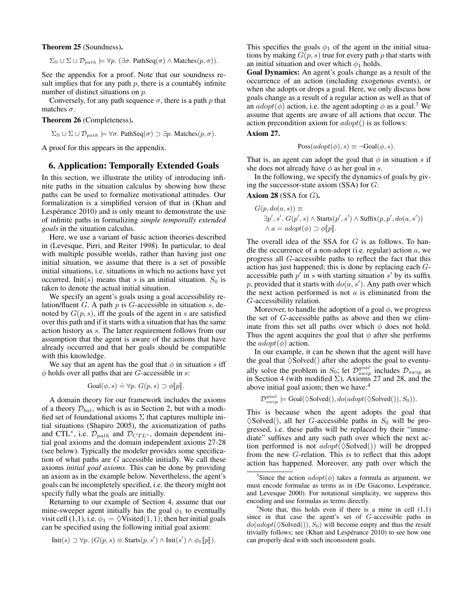Theorem 25 (Soundness).

 $\Sigma_{\mathbb{N}} \cup \Sigma \cup \mathcal{D}_{path} \models \forall p. (\exists \sigma. \text{ PathSeq}(\sigma) \land \text{Matches}(p, \sigma)).$ 

See the appendix for a proof. Note that our soundness result implies that for any path  $p$ , there is a countably infinite number of distinct situations on p.

Conversely, for any path sequence  $\sigma$ , there is a path p that matches  $\sigma$ .

#### Theorem 26 (Completeness).

 $\Sigma_{\mathbb{N}} \cup \Sigma \cup \mathcal{D}_{path} \models \forall \sigma$ . PathSeq $(\sigma) \supset \exists p$ . Matches $(p, \sigma)$ .

A proof for this appears in the appendix.

# 6. Application: Temporally Extended Goals

In this section, we illustrate the utility of introducing infinite paths in the situation calculus by showing how these paths can be used to formalize motivational attitudes. Our formalization is a simplified version of that in (Khan and Lespérance 2010) and is only meant to demonstrate the use of infinite paths in formalizing *simple temporally extended goals* in the situation calculus.

Here, we use a variant of basic action theories described in (Levesque, Pirri, and Reiter 1998). In particular, to deal with multiple possible worlds, rather than having just one initial situation, we assume that there is a set of possible initial situations, i.e. situations in which no actions have yet occurred. Init(s) means that s is an initial situation.  $S_0$  is taken to denote the actual initial situation.

We specify an agent's goals using a goal accessibility relation/fluent  $G$ . A path  $p$  is  $G$ -accessible in situation  $s$ , denoted by  $G(p, s)$ , iff the goals of the agent in s are satisfied over this path and if it starts with a situation that has the same action history as s. The latter requirement follows from our assumption that the agent is aware of the actions that have already occurred and that her goals should be compatible with this knowledge.

We say that an agent has the goal that  $\phi$  in situation s iff  $\phi$  holds over all paths that are *G*-accessible in *s*:

$$
Goal(\phi, s) \doteq \forall p. \ G(p, s) \supset \phi[\![p]\!].
$$

A domain theory for our framework includes the axioms of a theory  $\mathcal{D}_{bat}$ , which is as in Section 2, but with a modified set of foundational axioms  $\Sigma$  that captures multiple initial situations (Shapiro 2005), the axiomatization of paths and CTL<sup>\*</sup>, i.e.  $\mathcal{D}_{path}$  and  $\mathcal{D}_{CTL^*}$ , domain dependent initial goal axioms and the domain independent axioms 27-28 (see below). Typically the modeler provides some specification of what paths are  $G$  accessible initially. We call these axioms *initial goal axioms*. This can be done by providing an axiom as in the example below. Nevertheless, the agent's goals can be incompletely specified, i.e. the theory might not specify fully what the goals are initially.

Returning to our example of Section 4, assume that our mine-sweeper agent initially has the goal  $\phi_1$  to eventually visit cell (1,1), i.e.  $\phi_1 = \Diamond V$ isited(1, 1); then her initial goals can be specified using the following initial goal axiom:

$$
Init(s) \supset \forall p. (G(p, s) \equiv Starts(p, s') \wedge Init(s') \wedge \phi_1[\![p]\!]).
$$

This specifies the goals  $\phi_1$  of the agent in the initial situations by making  $G(p, s)$  true for every path p that starts with an initial situation and over which  $\phi_1$  holds.

Goal Dynamics: An agent's goals change as a result of the occurrence of an action (including exogenous events), or when she adopts or drops a goal. Here, we only discuss how goals change as a result of a regular action as well as that of an  $adopt(\phi)$  action, i.e. the agent adopting  $\phi$  as a goal.<sup>3</sup> We assume that agents are aware of all actions that occur. The action precondition axiom for  $adopt()$  is as follows:

#### Axiom 27.

$$
Poss(adopt(\phi), s) \equiv \neg Goal(\phi, s).
$$

That is, an agent can adopt the goal that  $\phi$  in situation s if she does not already have  $\phi$  as her goal in s.

In the following, we specify the dynamics of goals by giving the successor-state axiom  $(SSA)$  for  $G$ :

### Axiom  $28$  (SSA for  $G$ ).

$$
G(p, do(a, s)) \equiv
$$
  
\n
$$
\exists p', s'. G(p', s) \land \text{Starts}(p', s') \land \text{Suffix}(p, p', do(a, s'))
$$
  
\n
$$
\land a = adopt(\phi) \supset \phi[\![p]\!].
$$

The overall idea of the SSA for  $G$  is as follows. To handle the occurrence of a non-adopt (i.e. regular) action  $a$ , we progress all G-accessible paths to reflect the fact that this action has just happened; this is done by replacing each Gaccessible path  $p'$  in s with starting situation s' by its suffix p, provided that it starts with  $do(a, s')$ . Any path over which the next action performed is not  $a$  is eliminated from the G-accessibility relation.

Moreover, to handle the adoption of a goal  $\phi$ , we progress the set of G-accessible paths as above and then we eliminate from this set all paths over which  $\phi$  does not hold. Thus the agent acquires the goal that  $\phi$  after she performs the  $adopt(\phi)$  action.

In our example, it can be shown that the agent will have the goal that  $\Diamond$ Solved $()$  after she adopts the goal to eventually solve the problem in  $S_0$ ; let  $\mathcal{D}_{swin}^{goal}$  includes  $\mathcal{D}_{swin}$  as in Section 4 (with modified  $\Sigma$ ), Axioms 27 and 28, and the above initial goal axiom; then we have:<sup>4</sup>

 $\mathcal{D}_{swin}^{goal} \models$  Goal( $\Diamond$ Solved $(),$   $do (adopt(\Diamond$ Solved $(),$   $S_0)).$ 

This is because when the agent adopts the goal that  $\Diamond$ Solved(), all her G-accessible paths in  $S_0$  will be progressed, i.e. these paths will be replaced by their "immediate" suffixes and any such path over which the next action performed is not  $adopt(\Diamond Solved())$  will be dropped from the new G-relation. This is to reflect that this adopt action has happened. Moreover, any path over which the

<sup>&</sup>lt;sup>3</sup>Since the action  $adopt(\phi)$  takes a formula as argument, we must encode formulae as terms as in (De Giacomo, Lespérance, and Levesque 2000). For notational simplicity, we suppress this encoding and use formulas as terms directly.

<sup>&</sup>lt;sup>4</sup>Note that, this holds even if there is a mine in cell  $(1,1)$ since in that case the agent's set of G-accessible paths in  $do(adopt(\Diamond Solved))), S_0)$  will become empty and thus the result trivially follows; see (Khan and Lespérance 2010) to see how one can properly deal with such inconsistent goals.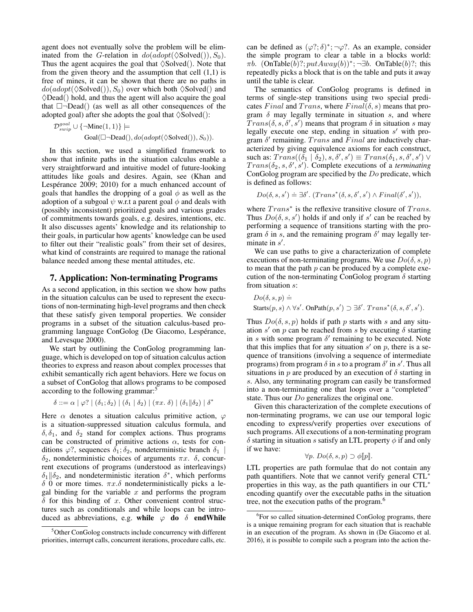agent does not eventually solve the problem will be eliminated from the G-relation in  $do(adopt(\Diamond Solved)), S_0)$ . Thus the agent acquires the goal that  $\Diamond$ Solved $($ ). Note that from the given theory and the assumption that cell  $(1,1)$  is free of mines, it can be shown that there are no paths in  $do(adopt(\Diamond Solved(), S_0)$  over which both  $\Diamond Solved()$  and  $\Diamond$ Dead() hold, and thus the agent will also acquire the goal that  $\Box$ -Dead() (as well as all other consequences of the adopted goal) after she adopts the goal that  $\Diamond$ Solved $($ ):

$$
\mathcal{D}_{swin}^{goal} \cup {\{\neg \text{Mine}(1, 1)\}} \models
$$
  
Goal(□¬Dead(), do(adopt(⊗olved()); S<sub>0</sub>)).

In this section, we used a simplified framework to show that infinite paths in the situation calculus enable a very straightforward and intuitive model of future-looking attitudes like goals and desires. Again, see (Khan and Lespérance  $2009$ ;  $2010$ ) for a much enhanced account of goals that handles the dropping of a goal  $\phi$  as well as the adoption of a subgoal  $\psi$  w.r.t a parent goal  $\phi$  and deals with (possibly inconsistent) prioritized goals and various grades of commitments towards goals, e.g. desires, intentions, etc. It also discusses agents' knowledge and its relationship to their goals, in particular how agents' knowledge can be used to filter out their "realistic goals" from their set of desires, what kind of constraints are required to manage the rational balance needed among these mental attitudes, etc.

# 7. Application: Non-terminating Programs

As a second application, in this section we show how paths in the situation calculus can be used to represent the executions of non-terminating high-level programs and then check that these satisfy given temporal properties. We consider programs in a subset of the situation calculus-based programming language ConGolog (De Giacomo, Lespérance, and Levesque 2000).

We start by outlining the ConGolog programming language, which is developed on top of situation calculus action theories to express and reason about complex processes that exhibit semantically rich agent behaviors. Here we focus on a subset of ConGolog that allows programs to be composed according to the following grammar:<sup>5</sup>

 $\delta ::= \alpha | \varphi$ ? | (δ<sub>1</sub>; δ<sub>2</sub>) | (δ<sub>1</sub> | δ<sub>2</sub>) | (πx. δ) | (δ<sub>1</sub>||δ<sub>2</sub>) | δ<sup>\*</sup>

Here  $\alpha$  denotes a situation calculus primitive action,  $\varphi$ is a situation-suppressed situation calculus formula, and  $\delta$ ,  $\delta_1$ , and  $\delta_2$  stand for complex actions. Thus programs can be constructed of primitive actions  $\alpha$ , tests for conditions  $\varphi$ ?, sequences  $\delta_1$ ;  $\delta_2$ , nondeterministic branch  $\delta_1$  |  $\delta_2$ , nondeterministic choices of arguments  $\pi x$ .  $\delta$ , concurrent executions of programs (understood as interleavings)  $\delta_1 || \delta_2$ , and nondeterministic iteration  $\delta^*$ , which performs δ 0 or more times.  $πx.\delta$  nondeterministically picks a legal binding for the variable  $x$  and performs the program  $\delta$  for this binding of x. Other convenient control structures such as conditionals and while loops can be introduced as abbreviations, e.g. while  $\varphi$  do  $\delta$  endWhile

can be defined as  $(\varphi$ ?;  $\delta$ )\*;  $\neg \varphi$ ?. As an example, consider the simple program to clear a table in a blocks world:  $\pi b$ . (OnTable(b)?;  $putAux(y(b))^*$ ; ¬ $\exists b$ . OnTable(b)?; this repeatedly picks a block that is on the table and puts it away until the table is clear.

The semantics of ConGolog programs is defined in terms of single-step transitions using two special predicates Final and Trans, where  $Final(\delta, s)$  means that program  $\delta$  may legally terminate in situation s, and where  $Trans(\delta, s, \delta', s')$  means that program  $\delta$  in situation s may legally execute one step, ending in situation  $s'$  with program  $\delta'$  remaining. Trans and Final are inductively characterized by giving equivalence axioms for each construct, such as:  $Trans((\bar{\delta_1} | \hat{\delta_2}), s, \delta', s') \equiv Trans(\delta_1, s, \delta', s') \vee$  $Trans(\delta_2, s, \delta', s')$ . Complete executions of a *terminating* ConGolog program are specified by the Do predicate, which is defined as follows:

$$
Do(\delta, s, s') \doteq \exists \delta'. (Trans^*(\delta, s, \delta', s') \land Final(\delta', s')),
$$

where  $Trans<sup>*</sup>$  is the reflexive transitive closure of  $Trans.$ Thus  $Do(\delta, s, s')$  holds if and only if s' can be reached by performing a sequence of transitions starting with the program  $\delta$  in s, and the remaining program  $\delta'$  may legally terminate in  $s'$ .

We can use paths to give a characterization of complete executions of non-terminating programs. We use  $Do(\delta, s, p)$ to mean that the path  $p$  can be produced by a complete execution of the non-terminating ConGolog program  $\delta$  starting from situation s:

$$
Do(\delta, s, p) \doteq
$$
  
Starts $(p, s) \land \forall s'$ . OnPath $(p, s') \supset \exists \delta'$ . Trans<sup>\*</sup> $(\delta, s, \delta', s')$ .

Thus  $Do(\delta, s, p)$  holds if path p starts with s and any situation  $s'$  on  $p$  can be reached from  $s$  by executing  $\delta$  starting in s with some program  $\delta'$  remaining to be executed. Note that this implies that for any situation  $s'$  on  $p$ , there is a sequence of transitions (involving a sequence of intermediate programs) from program  $\delta$  in s to a program  $\delta'$  in s'. Thus all situations in  $p$  are produced by an execution of  $\delta$  starting in s. Also, any terminating program can easily be transformed into a non-terminating one that loops over a "completed" state. Thus our *Do* generalizes the original one.

Given this characterization of the complete executions of non-terminating programs, we can use our temporal logic encoding to express/verify properties over executions of such programs. All executions of a non-terminating program  $\delta$  starting in situation s satisfy an LTL property  $\phi$  if and only if we have:

$$
\forall p. \; Do(\delta, s, p) \supset \phi[\![p]\!].
$$

LTL properties are path formulae that do not contain any path quantifiers. Note that we cannot verify general CTL<sup>∗</sup> properties in this way, as the path quantifiers in our CTL<sup>∗</sup> encoding quantify over the executable paths in the situation tree, not the execution paths of the program.<sup>6</sup>

<sup>5</sup>Other ConGolog constructs include concurrency with different priorities, interrupt calls, concurrent iterations, procedure calls, etc.

<sup>&</sup>lt;sup>6</sup>For so called situation-determined ConGolog programs, there is a unique remaining program for each situation that is reachable in an execution of the program. As shown in (De Giacomo et al. 2016), it is possible to compile such a program into the action the-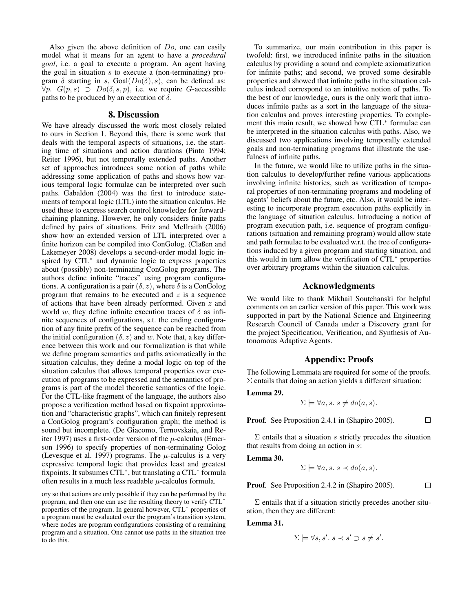Also given the above definition of Do, one can easily model what it means for an agent to have a *procedural goal*, i.e. a goal to execute a program. An agent having the goal in situation s to execute a (non-terminating) program  $\delta$  starting in s, Goal( $Do(\delta)$ , s), can be defined as:  $\forall p. \ G(p, s) \supset Do(\delta, s, p),$  i.e. we require G-accessible paths to be produced by an execution of  $\delta$ .

#### 8. Discussion

We have already discussed the work most closely related to ours in Section 1. Beyond this, there is some work that deals with the temporal aspects of situations, i.e. the starting time of situations and action durations (Pinto 1994; Reiter 1996), but not temporally extended paths. Another set of approaches introduces some notion of paths while addressing some application of paths and shows how various temporal logic formulae can be interpreted over such paths. Gabaldon (2004) was the first to introduce statements of temporal logic (LTL) into the situation calculus. He used these to express search control knowledge for forwardchaining planning. However, he only considers finite paths defined by pairs of situations. Fritz and McIlraith (2006) show how an extended version of LTL interpreted over a finite horizon can be compiled into ConGolog. (Claßen and Lakemeyer 2008) develops a second-order modal logic inspired by CTL<sup>∗</sup> and dynamic logic to express properties about (possibly) non-terminating ConGolog programs. The authors define infinite "traces" using program configurations. A configuration is a pair  $(\delta, z)$ , where  $\delta$  is a ConGolog program that remains to be executed and  $z$  is a sequence of actions that have been already performed. Given z and world w, they define infinite execution traces of  $\delta$  as infinite sequences of configurations, s.t. the ending configuration of any finite prefix of the sequence can be reached from the initial configuration ( $\delta$ , z) and w. Note that, a key difference between this work and our formalization is that while we define program semantics and paths axiomatically in the situation calculus, they define a modal logic on top of the situation calculus that allows temporal properties over execution of programs to be expressed and the semantics of programs is part of the model theoretic semantics of the logic. For the CTL-like fragment of the language, the authors also propose a verification method based on fixpoint approximation and "characteristic graphs", which can finitely represent a ConGolog program's configuration graph; the method is sound but incomplete. (De Giacomo, Ternovskaia, and Reiter 1997) uses a first-order version of the  $\mu$ -calculus (Emerson 1996) to specify properties of non-terminating Golog (Levesque et al. 1997) programs. The  $\mu$ -calculus is a very expressive temporal logic that provides least and greatest fixpoints. It subsumes CTL<sup>\*</sup>, but translating a CTL<sup>\*</sup> formula often results in a much less readable  $\mu$ -calculus formula.

To summarize, our main contribution in this paper is twofold: first, we introduced infinite paths in the situation calculus by providing a sound and complete axiomatization for infinite paths; and second, we proved some desirable properties and showed that infinite paths in the situation calculus indeed correspond to an intuitive notion of paths. To the best of our knowledge, ours is the only work that introduces infinite paths as a sort in the language of the situation calculus and proves interesting properties. To complement this main result, we showed how CTL<sup>∗</sup> formulae can be interpreted in the situation calculus with paths. Also, we discussed two applications involving temporally extended goals and non-terminating programs that illustrate the usefulness of infinite paths.

In the future, we would like to utilize paths in the situation calculus to develop/further refine various applications involving infinite histories, such as verification of temporal properties of non-terminating programs and modeling of agents' beliefs about the future, etc. Also, it would be interesting to incorporate program execution paths explicitly in the language of situation calculus. Introducing a notion of program execution path, i.e. sequence of program configurations (situation and remaining program) would allow state and path formulae to be evaluated w.r.t. the tree of configurations induced by a given program and starting situation, and this would in turn allow the verification of CTL<sup>∗</sup> properties over arbitrary programs within the situation calculus.

# Acknowledgments

We would like to thank Mikhail Soutchanski for helpful comments on an earlier version of this paper. This work was supported in part by the National Science and Engineering Research Council of Canada under a Discovery grant for the project Specification, Verification, and Synthesis of Autonomous Adaptive Agents.

## Appendix: Proofs

The following Lemmata are required for some of the proofs.  $\Sigma$  entails that doing an action yields a different situation:

Lemma 29.

$$
\Sigma \models \forall a, s. \ s \neq do(a, s).
$$

Proof*.* See Proposition 2.4.1 in (Shapiro 2005).

 $\Box$ 

 $\Sigma$  entails that a situation s strictly precedes the situation that results from doing an action in  $\overline{s}$ :

Lemma 30.

$$
\Sigma \models \forall a, s. \ s \prec do(a, s).
$$

Proof. See Proposition 2.4.2 in (Shapiro 2005).

 $\Box$ 

 $\Sigma$  entails that if a situation strictly precedes another situation, then they are different:

### Lemma 31.

$$
\Sigma \models \forall s, s'. s \prec s' \supset s \neq s'
$$

.

ory so that actions are only possible if they can be performed by the program, and then one can use the resulting theory to verify CTL<sup>∗</sup> properties of the program. In general however, CTL<sup>∗</sup> properties of a program must be evaluated over the program's transition system, where nodes are program configurations consisting of a remaining program and a situation. One cannot use paths in the situation tree to do this.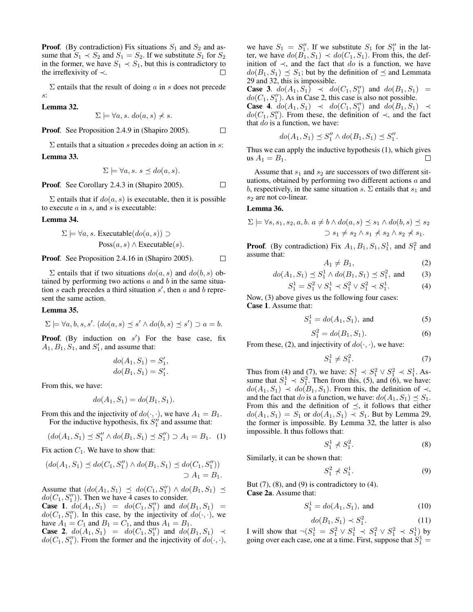**Proof.** (By contradiction) Fix situations  $S_1$  and  $S_2$  and assume that  $S_1 \prec S_2$  and  $S_1 = S_2$ . If we substitute  $S_1$  for  $S_2$ in the former, we have  $S_1 \prec S_1$ , but this is contradictory to the irreflexivity of  $\prec$ . П

 $\Sigma$  entails that the result of doing a in s does not precede s:

Lemma 32.

$$
\Sigma \models \forall a, s. \ do(a, s) \nless s.
$$

Proof*.* See Proposition 2.4.9 in (Shapiro 2005).  $\Box$ 

 $\Sigma$  entails that a situation s precedes doing an action in s: Lemma 33.

$$
\Sigma \models \forall a, s. \ s \preceq do(a, s).
$$

Proof*.* See Corollary 2.4.3 in (Shapiro 2005).

 $\Sigma$  entails that if  $do(a, s)$  is executable, then it is possible to execute  $a$  in  $s$ , and  $s$  is executable:

#### Lemma 34.

$$
\Sigma \models \forall a, s. \text{ Executive}(do(a, s)) \supset
$$

$$
\text{Poss}(a, s) \land \text{Executeable}(s).
$$

Proof. See Proposition 2.4.16 in (Shapiro 2005).  $\Box$ 

 $\Sigma$  entails that if two situations  $do(a, s)$  and  $do(b, s)$  obtained by performing two actions  $a$  and  $b$  in the same situation  $s$  each precedes a third situation  $s'$ , then  $a$  and  $b$  represent the same action.

#### Lemma 35.

$$
\Sigma \models \forall a, b, s, s'. (do(a, s) \preceq s' \land do(b, s) \preceq s') \supset a = b.
$$

**Proof.** (By induction on  $s'$ ) For the base case, fix  $A_1, B_1, S_1$ , and  $S'_1$ , and assume that:

$$
do(A_1, S_1) = S'_1, do(B_1, S_1) = S'_1.
$$

From this, we have:

$$
do(A_1, S_1) = do(B_1, S_1).
$$

From this and the injectivity of  $do(\cdot, \cdot)$ , we have  $A_1 = B_1$ . For the inductive hypothesis, fix  $S_1''$  and assume that:

$$
(do(A_1, S_1) \preceq S_1'' \land do(B_1, S_1) \preceq S_1'') \supset A_1 = B_1. \tag{1}
$$

Fix action  $C_1$ . We have to show that:

$$
(do(A_1, S_1) \preceq do(C_1, S_1'') \land do(B_1, S_1) \preceq do(C_1, S_1''))
$$
  

$$
\supset A_1 = B_1.
$$

Assume that  $(do(A_1, S_1) \preceq do(C_1, S_1'') \wedge do(B_1, S_1) \preceq$  $do(C_1, S_1'')$ . Then we have 4 cases to consider.

**Case 1.**  $d\mathbf{o}(A_1, S_1) = \mathbf{do}(C_1, S_1'')$  and  $d\mathbf{o}(B_1, S_1) =$  $do(C_1, S_1'')$ . In this case, by the injectivity of  $do(\cdot, \cdot)$ , we have  $A_1 = C_1$  and  $B_1 = C_1$ , and thus  $A_1 = B_1$ .

**Case 2.**  $do(A_1, S_1) = do(C_1, S_1'')$  and  $do(B_1, S_1) \prec$  $do(C_1, S_1'')$ . From the former and the injectivity of  $do(\cdot, \cdot)$ ,

we have  $S_1 = S_1''$ . If we substitute  $S_1$  for  $S_1''$  in the latter, we have  $do(B_1, S_1) \prec do(C_1, S_1)$ . From this, the definition of  $\prec$ , and the fact that do is a function, we have  $do(B_1, S_1) \preceq S_1$ ; but by the definition of  $\preceq$  and Lemmata 29 and 32, this is impossible.

**Case 3.**  $do(A_1, S_1) \prec do(C_1, S_1'')$  and  $do(B_1, S_1) =$  $do(C_1, S_1'')$ . As in Case 2, this case is also not possible.

**Case 4.**  $do(A_1, S_1) \prec do(C_1, S_1'')$  and  $do(B_1, S_1) \prec$  $do(C_1, S_1'')$ . From these, the definition of  $\prec$ , and the fact that  $do$  is a function, we have:

$$
do(A_1, S_1) \preceq S_1'' \wedge do(B_1, S_1) \preceq S_1''.
$$

Thus we can apply the inductive hypothesis (1), which gives us  $A_1 = B_1$ . П

Assume that  $s_1$  and  $s_2$  are successors of two different situations, obtained by performing two different actions  $a$  and b, respectively, in the same situation s.  $\Sigma$  entails that  $s_1$  and  $s_2$  are not co-linear.

#### Lemma 36.

 $\Box$ 

$$
\Sigma \models \forall s, s_1, s_2, a, b. \ a \neq b \land do(a, s) \leq s_1 \land do(b, s) \leq s_2
$$
  

$$
\supset s_1 \neq s_2 \land s_1 \neq s_2 \land s_2 \neq s_1.
$$

**Proof.** (By contradiction) Fix  $A_1$ ,  $B_1$ ,  $S_1$ ,  $S_1^1$ , and  $S_1^2$  and assume that:

$$
A_1 \neq B_1,\tag{2}
$$

$$
do(A_1, S_1) \preceq S_1^1 \wedge do(B_1, S_1) \preceq S_1^2
$$
, and (3)

$$
S_1^1 = S_1^2 \vee S_1^1 \prec S_1^2 \vee S_1^2 \prec S_1^1. \tag{4}
$$

Now, (3) above gives us the following four cases: Case 1. Assume that:

$$
S_1^1 = do(A_1, S_1), \text{ and } (5)
$$

$$
S_1^2 = do(B_1, S_1). \t\t(6)
$$

From these, (2), and injectivity of  $do(·, ·)$ , we have:

$$
S_1^1 \neq S_1^2. \tag{7}
$$

Thus from (4) and (7), we have:  $S_1^1 \prec S_1^2 \vee S_1^2 \prec S_1^1$ . Assume that  $S_1^1 \prec S_1^2$ . Then from this, (5), and (6), we have:  $do(A_1, S_1) \prec do(B_1, S_1)$ . From this, the definition of  $\prec$ , and the fact that do is a function, we have:  $do(A_1, S_1) \preceq S_1$ . From this and the definition of  $\preceq$ , it follows that either  $do(A_1, S_1) = S_1$  or  $do(A_1, S_1) \prec S_1$ . But by Lemma 29, the former is impossible. By Lemma 32, the latter is also impossible. It thus follows that:

$$
S_1^1 \nprec S_1^2. \tag{8}
$$

Similarly, it can be shown that:

$$
S_1^2 \nless S_1^1. \tag{9}
$$

But  $(7)$ ,  $(8)$ , and  $(9)$  is contradictory to  $(4)$ . Case 2a. Assume that:

$$
S_1^1 = do(A_1, S_1), \text{ and } (10)
$$

$$
do(B_1, S_1) \prec S_1^2. \tag{11}
$$

I will show that  $\neg (S_1^1 = S_1^2 ∨ S_1^1 \prec S_1^2 ∨ S_1^2 \prec S_1^1)$  by going over each case, one at a time. First, suppose that  $S_1^1$  =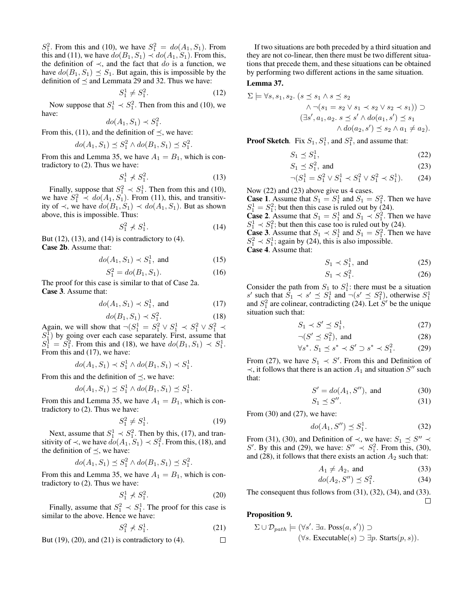$S_1^2$ . From this and (10), we have  $S_1^2 = do(A_1, S_1)$ . From this and (11), we have  $do(B_1, S_1) \prec do(A_1, S_1)$ . From this, the definition of  $\prec$ , and the fact that do is a function, we have  $do(B_1, S_1) \preceq S_1$ . But again, this is impossible by the definition of  $\preceq$  and Lemmata 29 and 32. Thus we have:

$$
S_1^1 \neq S_1^2. \tag{12}
$$

Now suppose that  $S_1^1 \prec S_1^2$ . Then from this and (10), we have:

$$
do(A_1, S_1) \prec S_1^2.
$$

From this, (11), and the definition of  $\prec$ , we have:

$$
do(A_1, S_1) \preceq S_1^2 \wedge do(B_1, S_1) \preceq S_1^2.
$$

From this and Lemma 35, we have  $A_1 = B_1$ , which is contradictory to (2). Thus we have:

$$
S_1^1 \nless S_1^2. \n\tag{13}
$$

Finally, suppose that  $S_1^2 \prec S_1^1$ . Then from this and (10), we have  $S_1^2 \prec do(A_1, S_1)$ . From (11), this, and transitivity of  $\prec$ , we have  $do(B_1, S_1)$   $\prec$   $do(A_1, S_1)$ . But as shown above, this is impossible. Thus:

$$
S_1^2 \nless S_1^1. \tag{14}
$$

But  $(12)$ ,  $(13)$ , and  $(14)$  is contradictory to  $(4)$ . Case 2b. Assume that:

$$
do(A_1, S_1) \prec S_1^1, \text{ and } (15)
$$

$$
S_1^2 = do(B_1, S_1). \t(16)
$$

The proof for this case is similar to that of Case 2a. Case 3. Assume that:

$$
do(A_1, S_1) \prec S_1^1, \text{ and } (17)
$$

$$
do(B_1, S_1) \prec S_1^2. \tag{18}
$$

Again, we will show that  $\neg (S_1^1 = S_1^2 \lor S_1^1 \prec S_1^2 \lor S_1^2 \prec S_1^2)$  $S_1^{\bar{1}}$ ) by going over each case separately. First, assume that  $S_1^1 = S_1^2$ . From this and (18), we have  $do(B_1, S_1) \prec S_1^1$ . From this and (17), we have:

$$
do(A_1, S_1) \prec S_1^1 \wedge do(B_1, S_1) \prec S_1^1.
$$

From this and the definition of  $\preceq$ , we have:

$$
do(A_1, S_1) \preceq S_1^1 \wedge do(B_1, S_1) \preceq S_1^1
$$

From this and Lemma 35, we have  $A_1 = B_1$ , which is contradictory to (2). Thus we have:

$$
S_1^2 \neq S_1^1. \tag{19}
$$

.

.

Next, assume that  $S_1^1 \prec S_1^2$ . Then by this, (17), and transitivity of  $\prec$ , we have  $\dot{do}(A_1, S_1) \prec S_1^2$ . From this, (18), and the definition of  $\preceq$ , we have:

$$
do(A_1, S_1) \preceq S_1^2 \wedge do(B_1, S_1) \preceq S_1^2
$$

From this and Lemma 35, we have  $A_1 = B_1$ , which is contradictory to (2). Thus we have:

$$
S_1^1 \nless S_1^2. \tag{20}
$$

Finally, assume that  $S_1^2 \prec S_1^1$ . The proof for this case is similar to the above. Hence we have:

$$
S_1^2 \nless S_1^1. \tag{21}
$$

But  $(19)$ ,  $(20)$ , and  $(21)$  is contradictory to  $(4)$ .  $\Box$ 

If two situations are both preceded by a third situation and they are not co-linear, then there must be two different situations that precede them, and these situations can be obtained by performing two different actions in the same situation.

#### Lemma 37.

$$
\Sigma \models \forall s, s_1, s_2. \ (s \preceq s_1 \land s \preceq s_2
$$
  

$$
\land \neg(s_1 = s_2 \lor s_1 \prec s_2 \lor s_2 \prec s_1)) \supset
$$
  

$$
(\exists s', a_1, a_2. \ s \preceq s' \land do(a_1, s') \preceq s_1
$$
  

$$
\land do(a_2, s') \preceq s_2 \land a_1 \neq a_2).
$$

**Proof Sketch.** Fix  $S_1$ ,  $S_1^1$ , and  $S_1^2$ , and assume that:

$$
S_1 \preceq S_1^1,\tag{22}
$$

$$
S_1 \preceq S_1^2, \text{ and } (23)
$$

$$
\neg (S_1^1 = S_1^2 \lor S_1^1 \prec S_1^2 \lor S_1^2 \prec S_1^1). \tag{24}
$$

Now (22) and (23) above give us 4 cases.

**Case 1.** Assume that  $S_1 = S_1^1$  and  $S_1 = S_1^2$ . Then we have  $S_1^1 = S_1^2$ ; but then this case is ruled out by (24).

**Case 2.** Assume that  $S_1 = S_1^1$  and  $S_1 \prec S_1^2$ . Then we have  $S_1^1 \prec S_1^2$ ; but then this case too is ruled out by (24).

**Case 3.** Assume that  $S_1 \prec S_1^1$  and  $S_1 = S_1^2$ . Then we have  $S_1^2 \prec S_1^1$ ; again by (24), this is also impossible.

Case 4. Assume that:

$$
S_1 \prec S_1^1, \text{ and } (25)
$$

$$
S_1 \prec S_1^2. \tag{26}
$$

Consider the path from  $S_1$  to  $S_1^1$ : there must be a situation s' such that  $\hat{S}_1 \prec s' \preceq S_1^1$  and  $\neg(s' \preceq S_1^2)$ , otherwise  $S_1^1$ and  $S_1^2$  are colinear, contradicting (24). Let S' be the unique situation such that:

$$
S_1 \prec S' \preceq S_1^1,\tag{27}
$$

$$
\neg (S' \preceq S_1^2), \text{ and } \tag{28}
$$

$$
\forall s^*.\ S_1 \preceq s^* \prec S' \supset s^* \prec S_1^2. \tag{29}
$$

From (27), we have  $S_1 \prec S'$ . From this and Definition of  $\prec$ , it follows that there is an action  $A_1$  and situation  $S''$  such that:

$$
S' = do(A_1, S''), \text{ and } (30)
$$

$$
S_1 \preceq S''.
$$
 (31)

From  $(30)$  and  $(27)$ , we have:

$$
do(A_1, S'') \preceq S_1^1. \tag{32}
$$

From (31), (30), and Definition of  $\prec$ , we have:  $S_1 \preceq S'' \prec$ S'. By this and (29), we have:  $S'' \prec S_1^2$ . From this, (30), and (28), it follows that there exists an action  $A_2$  such that:

$$
A_1 \neq A_2, \text{ and } (33)
$$

$$
do(A_2, S'') \preceq S_1^2. \tag{34}
$$

The consequent thus follows from  $(31)$ ,  $(32)$ ,  $(34)$ , and  $(33)$ .  $\Box$ 

### Proposition 9.

$$
\Sigma \cup \mathcal{D}_{path} \models (\forall s'. \exists a. \text{Poss}(a, s')) \supset
$$

$$
(\forall s. \text{Executeable}(s) \supset \exists p. \text{Starts}(p, s)).
$$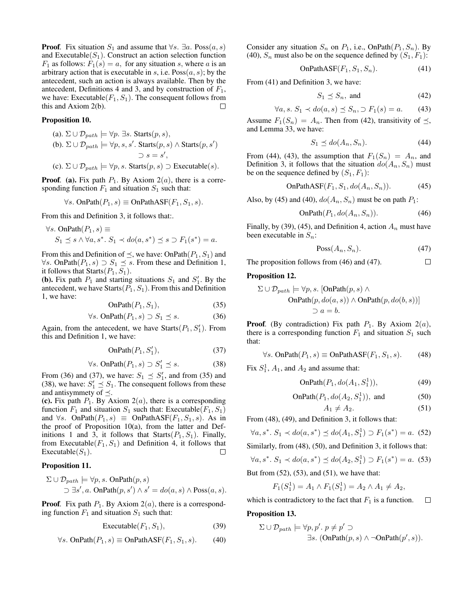**Proof.** Fix situation  $S_1$  and assume that  $\forall s$ .  $\exists a$ . Poss $(a, s)$ and Executable $(S_1)$ . Construct an action selection function  $F_1$  as follows:  $F_1(s) = a$ , for any situation s, where a is an arbitrary action that is executable in s, i.e.  $Poss(a, s)$ ; by the antecedent, such an action is always available. Then by the antecedent, Definitions 4 and 3, and by construction of  $F_1$ , we have: Executable( $F_1, S_1$ ). The consequent follows from this and Axiom 2(b). П

#### Proposition 10.

\n- (a). 
$$
\Sigma \cup \mathcal{D}_{path} \models \forall p. \exists s
$$
.  $S(ps)$ ,
\n- (b).  $\Sigma \cup \mathcal{D}_{path} \models \forall p, s, s'$ .  $S(ps) \land \text{Starts}(p, s')$
\n- $\supset s = s'$ ,
\n- (c).  $\Sigma \cup \mathcal{D}_{path} \models \forall p, s$ .  $\text{Starts}(p, s) \supset \text{Executeable}(s)$ .
\n

**Proof.** (a). Fix path  $P_1$ . By Axiom  $2(a)$ , there is a corresponding function  $F_1$  and situation  $S_1$  such that:

$$
\forall s. \text{ OnPath}(P_1, s) \equiv \text{OnPathASF}(F_1, S_1, s).
$$

From this and Definition 3, it follows that:.

$$
\forall s. \text{ OnPath}(P_1, s) \equiv
$$
  

$$
S_1 \preceq s \land \forall a, s^*. \ S_1 \prec do(a, s^*) \preceq s \supset F_1(s^*) = a.
$$

From this and Definition of  $\preceq$ , we have: OnPath $(P_1, S_1)$  and  $\forall s$ . OnPath( $P_1, s$ ) ⊃  $S_1 \leq s$ . From these and Definition 1, it follows that  $Starts(P_1, S_1)$ .

(**b**). Fix path  $P_1$  and starting situations  $S_1$  and  $S'_1$ . By the antecedent, we have  $Starts(P_1, S_1)$ . From this and Definition 1, we have:

$$
OnPath(P_1, S_1), \t\t(35)
$$

$$
\forall s. \text{ OnPath}(P_1, s) \supset S_1 \preceq s. \tag{36}
$$

Again, from the antecedent, we have  $Starts(P_1, S'_1)$ . From this and Definition 1, we have:

$$
\text{OnPath}(P_1, S_1'),\tag{37}
$$

$$
\forall s. \text{ OnPath}(P_1, s) \supset S'_1 \preceq s. \tag{38}
$$

From (36) and (37), we have:  $S_1 \preceq S_1'$ , and from (35) and (38), we have:  $S'_1 \preceq S_1$ . The consequent follows from these and antisymmety of  $\preceq$ .

(c). Fix path  $P_1$ . By Axiom  $2(a)$ , there is a corresponding function  $F_1$  and situation  $S_1$  such that: Executable( $F_1, S_1$ ) and  $\forall s$ . OnPath $(P_1, s) \equiv$  OnPathASF $(F_1, S_1, s)$ . As in the proof of Proposition 10(a), from the latter and Definitions 1 and 3, it follows that  $Starts(P_1, S_1)$ . Finally, from Executable( $F_1, S_1$ ) and Definition 4, it follows that Executable $(S_1)$ . □

#### Proposition 11.

$$
\Sigma \cup \mathcal{D}_{path} \models \forall p, s. \text{ OnPath}(p, s)
$$
  

$$
\supset \exists s', a. \text{ OnPath}(p, s') \land s' = do(a, s) \land \text{Poss}(a, s).
$$

**Proof.** Fix path  $P_1$ . By Axiom  $2(a)$ , there is a corresponding function  $F_1$  and situation  $S_1$  such that:

$$
Executeable(F_1, S_1), \t(39)
$$

$$
\forall s. \text{ OnPath}(P_1, s) \equiv \text{OnPathASF}(F_1, S_1, s). \tag{40}
$$

Consider any situation  $S_n$  on  $P_1$ , i.e., OnPath $(P_1, S_n)$ . By (40),  $S_n$  must also be on the sequence defined by  $(S_1, F_1)$ :

$$
OnPathASF(F_1, S_1, S_n). \tag{41}
$$

From (41) and Definition 3, we have:

$$
S_1 \preceq S_n, \text{ and } \tag{42}
$$

$$
\forall a, s. \ S_1 \prec do(a, s) \preceq S_n, \supset F_1(s) = a. \tag{43}
$$

Assume  $F_1(S_n) = A_n$ . Then from (42), transitivity of  $\preceq$ , and Lemma 33, we have:

$$
S_1 \preceq \text{do}(A_n, S_n). \tag{44}
$$

From (44), (43), the assumption that  $F_1(S_n) = A_n$ , and Definition 3, it follows that the situation  $do(A_n, S_n)$  must be on the sequence defined by  $(S_1, F_1)$ :

OnPathASF
$$
(F_1, S_1, do(A_n, S_n))
$$
. (45)

Also, by (45) and (40),  $do(A_n, S_n)$  must be on path  $P_1$ :

$$
OnPath(P_1, do(A_n, S_n)).\tag{46}
$$

Finally, by (39), (45), and Definition 4, action  $A_n$  must have been executable in  $S_n$ :

$$
\text{Poss}(A_n, S_n). \tag{47}
$$

The proposition follows from (46) and (47).  $\Box$ 

#### Proposition 12.

$$
\Sigma \cup \mathcal{D}_{path} \models \forall p, s. \text{ [OnPath}(p, s) \land \text{OnPath}(p, do(a, s)) \land \text{OnPath}(p, do(b, s))]
$$

$$
\supset a = b.
$$

**Proof.** (By contradiction) Fix path  $P_1$ . By Axiom  $2(a)$ , there is a corresponding function  $F_1$  and situation  $S_1$  such that:

$$
\forall s. \text{ OnPath}(P_1, s) \equiv \text{OnPathASP}(F_1, S_1, s). \tag{48}
$$

Fix  $S_1^1$ ,  $A_1$ , and  $A_2$  and assume that:

$$
\text{OnPath}(P_1, do(A_1, S_1^1)),\tag{49}
$$

OnPath
$$
(P_1, do(A_2, S_1^1))
$$
, and (50)

$$
A_1 \neq A_2. \tag{51}
$$

From (48), (49), and Definition 3, it follows that:

$$
\forall a, s^*. S_1 \prec do(a, s^*) \preceq do(A_1, S_1^1) \supset F_1(s^*) = a. \tag{52}
$$

Similarly, from (48), (50), and Definition 3, it follows that:

$$
\forall a, s^*. S_1 \prec do(a, s^*) \leq do(A_2, S_1^1) \supset F_1(s^*) = a. \tag{53}
$$

But from  $(52)$ ,  $(53)$ , and  $(51)$ , we have that:

$$
F_1(S_1^1) = A_1 \wedge F_1(S_1^1) = A_2 \wedge A_1 \neq A_2,
$$

which is contradictory to the fact that  $F_1$  is a function.  $\Box$ 

#### Proposition 13.

$$
\Sigma \cup \mathcal{D}_{path} \models \forall p, p'. p \neq p' \supset
$$
  

$$
\exists s. \ (\text{OnPath}(p, s) \land \neg \text{OnPath}(p', s)).
$$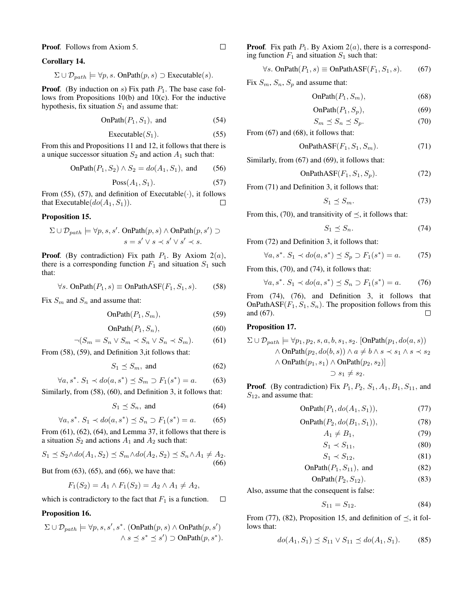Proof*.* Follows from Axiom 5.

#### Corollary 14.

$$
\Sigma \cup \mathcal{D}_{path} \models \forall p, s. \text{ OnPath}(p, s) \supset \text{Executeable}(s).
$$

**Proof.** (By induction on s) Fix path  $P_1$ . The base case follows from Propositions 10(b) and 10(c). For the inductive hypothesis, fix situation  $S_1$  and assume that:

OnPath
$$
(P_1, S_1)
$$
, and  $(54)$ 

$$
Executeable(S_1). \t(55)
$$

From this and Propositions 11 and 12, it follows that there is a unique successor situation  $S_2$  and action  $A_1$  such that:

OnPath
$$
(P_1, S_2) \wedge S_2 = do(A_1, S_1)
$$
, and (56)

$$
\text{Poss}(A_1, S_1). \tag{57}
$$

From (55), (57), and definition of Executable( $\cdot$ ), it follows that Executable( $do(A_1, S_1)$ ).  $\Box$ 

#### Proposition 15.

$$
\Sigma \cup \mathcal{D}_{path} \models \forall p, s, s'. \text{ OnPath}(p, s) \land \text{OnPath}(p, s') \supset s = s' \lor s \prec s' \lor s' \prec s.
$$

**Proof.** (By contradiction) Fix path  $P_1$ . By Axiom  $2(a)$ , there is a corresponding function  $F_1$  and situation  $S_1$  such that:

$$
\forall s. \text{ OnPath}(P_1, s) \equiv \text{OnPathASF}(F_1, S_1, s). \tag{58}
$$

Fix  $S_m$  and  $S_n$  and assume that:

$$
OnPath(P_1, S_m), \t\t(59)
$$

$$
\text{OnPath}(P_1, S_n),\tag{60}
$$

$$
\neg (S_m = S_n \lor S_m \prec S_n \lor S_n \prec S_m). \tag{61}
$$

From (58), (59), and Definition 3,it follows that:

$$
S_1 \preceq S_m, \text{ and } (62)
$$

$$
\forall a, s^*. S_1 \prec do(a, s^*) \le S_m \supset F_1(s^*) = a. \tag{63}
$$

Similarly, from (58), (60), and Definition 3, it follows that:

$$
S_1 \preceq S_n, \text{ and } (64)
$$

$$
\forall a, s^*. S_1 \prec do(a, s^*) \le S_n \supset F_1(s^*) = a. \tag{65}
$$

From  $(61)$ ,  $(62)$ ,  $(64)$ , and Lemma 37, it follows that there is a situation  $S_2$  and actions  $A_1$  and  $A_2$  such that:

$$
S_1 \preceq S_2 \wedge do(A_1, S_2) \preceq S_m \wedge do(A_2, S_2) \preceq S_n \wedge A_1 \neq A_2. \tag{66}
$$

But from (63), (65), and (66), we have that:

$$
F_1(S_2) = A_1 \wedge F_1(S_2) = A_2 \wedge A_1 \neq A_2,
$$

which is contradictory to the fact that  $F_1$  is a function.  $\Box$ 

#### Proposition 16.

$$
\Sigma \cup \mathcal{D}_{path} \models \forall p, s, s', s^*. \text{ (OnPath}(p, s) \land \text{OnPath}(p, s')
$$

$$
\land s \leq s^* \leq s') \supset \text{OnPath}(p, s^*).
$$

**Proof.** Fix path  $P_1$ . By Axiom  $2(a)$ , there is a corresponding function  $F_1$  and situation  $S_1$  such that:

$$
\forall s. \text{ OnPath}(P_1, s) \equiv \text{OnPathASF}(F_1, S_1, s). \tag{67}
$$

Fix  $S_m$ ,  $S_n$ ,  $S_p$  and assume that:

$$
OnPath(P_1, S_m), \t\t(68)
$$

$$
OnPath(P_1, S_p), \tag{69}
$$

$$
S_m \preceq S_n \preceq S_p. \tag{70}
$$

From (67) and (68), it follows that:

OnPathASF
$$
(F_1, S_1, S_m)
$$
. (71)

Similarly, from (67) and (69), it follows that:

OnPathASF
$$
(F_1, S_1, S_p)
$$
. (72)

From (71) and Definition 3, it follows that:

$$
S_1 \preceq S_m. \tag{73}
$$

From this, (70), and transitivity of  $\prec$ , it follows that:

$$
S_1 \preceq S_n. \tag{74}
$$

From 
$$
(72)
$$
 and Definition 3, it follows that:

$$
\forall a, s^*.\ S_1 \prec do(a, s^*) \le S_p \supset F_1(s^*) = a. \tag{75}
$$

From this, (70), and (74), it follows that:

$$
\forall a, s^*. S_1 \prec do(a, s^*) \le S_n \supset F_1(s^*) = a. \tag{76}
$$

From (74), (76), and Definition 3, it follows that OnPathASF( $F_1, S_1, S_n$ ). The proposition follows from this and (67).  $\Box$ 

# Proposition 17.

$$
\Sigma \cup \mathcal{D}_{path} \models \forall p_1, p_2, s, a, b, s_1, s_2. \text{[OnPath}(p_1, do(a, s))\land \text{OnPath}(p_2, do(b, s)) \land a \neq b \land s \prec s_1 \land s \prec s_2\land \text{OnPath}(p_1, s_1) \land \text{OnPath}(p_2, s_2)]\supset s_1 \neq s_2.
$$

**Proof.** (By contradiction) Fix  $P_1$ ,  $P_2$ ,  $S_1$ ,  $A_1$ ,  $B_1$ ,  $S_{11}$ , and  $S_{12}$ , and assume that:

$$
\text{OnPath}(P_1, do(A_1, S_1)),\tag{77}
$$

$$
OnPath(P_2, do(B_1, S_1)), \tag{78}
$$

$$
A_1 \neq B_1,\tag{79}
$$

$$
S_1 \prec S_{11}, \tag{80}
$$

$$
S_1 \prec S_{12},\tag{81}
$$

$$
OnPath(P_1, S_{11}), and \t(82)
$$

$$
OnPath(P_2, S_{12}). \t\t(83)
$$

Also, assume that the consequent is false:

$$
S_{11} = S_{12}.\t\t(84)
$$

From (77), (82), Proposition 15, and definition of  $\preceq$ , it follows that:

$$
do(A_1, S_1) \preceq S_{11} \vee S_{11} \preceq do(A_1, S_1). \tag{85}
$$

 $\Box$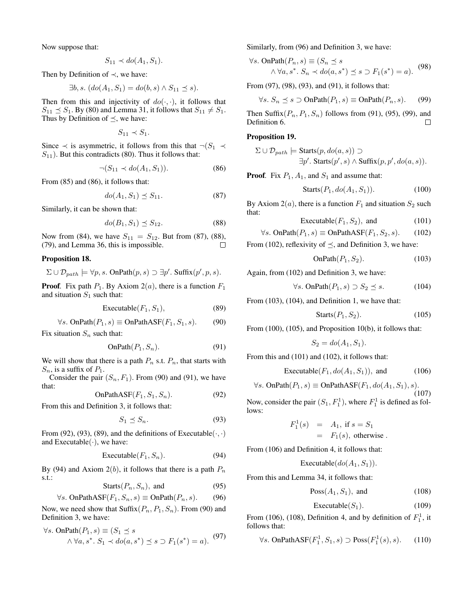Now suppose that:

$$
S_{11} \prec do(A_1, S_1).
$$

Then by Definition of  $\prec$ , we have:

$$
\exists b, s. (do(A1, S1) = do(b, s) \wedge S11 \preceq s).
$$

Then from this and injectivity of  $do(\cdot, \cdot)$ , it follows that  $S_{11} \preceq S_1$ . By (80) and Lemma 31, it follows that  $S_{11} \neq S_1$ . Thus by Definition of  $\preceq$ , we have:

$$
S_{11} \prec S_1.
$$

Since  $\prec$  is asymmetric, it follows from this that  $\neg (S_1 \prec$  $S_{11}$ ). But this contradicts (80). Thus it follows that:

$$
\neg (S_{11} \prec do(A_1, S_1)).\tag{86}
$$

From (85) and (86), it follows that:

$$
do(A_1, S_1) \preceq S_{11}.\tag{87}
$$

Similarly, it can be shown that:

$$
do(B_1, S_1) \preceq S_{12}.\tag{88}
$$

Now from (84), we have  $S_{11} = S_{12}$ . But from (87), (88), (79), and Lemma 36, this is impossible.  $\Box$ 

#### Proposition 18.

$$
\Sigma \cup \mathcal{D}_{path} \models \forall p, s. \text{ OnPath}(p, s) \supset \exists p'. \text{ Suffix}(p', p, s).
$$

**Proof.** Fix path  $P_1$ . By Axiom  $2(a)$ , there is a function  $F_1$ and situation  $S_1$  such that:

$$
Executeable(F_1, S_1), \t(89)
$$

$$
\forall s. \text{ OnPath}(P_1, s) \equiv \text{OnPathASF}(F_1, S_1, s). \tag{90}
$$

Fix situation  $S_n$  such that:

$$
OnPath(P_1, S_n). \t\t(91)
$$

We will show that there is a path  $P_n$  s.t.  $P_n$ , that starts with  $S_n$ , is a suffix of  $P_1$ .

Consider the pair  $(S_n, F_1)$ . From (90) and (91), we have that:  $\textsf{OnPath}\,\Delta\,\textsf{SE}(F_1, S_1, S_2)$ . (92)

$$
\text{OnFainas}(\mathbf{r}_1, \mathbf{S}_1, \mathbf{S}_n). \tag{92}
$$

From this and Definition 3, it follows that:

$$
S_1 \preceq S_n. \tag{93}
$$

From (92), (93), (89), and the definitions of Executable $(\cdot, \cdot)$ and Executable $(\cdot)$ , we have:

$$
Executeable(F_1, S_n). \t(94)
$$

By (94) and Axiom  $2(b)$ , it follows that there is a path  $P_n$ s.t.:

$$
Starts(P_n, S_n), and \t(95)
$$

$$
\forall s. \text{ OnPathASE}(F_1, S_n, s) \equiv \text{OnPath}(P_n, s). \tag{96}
$$

Now, we need show that  $\text{Suffix}(P_n, P_1, S_n)$ . From (90) and Definition 3, we have:

$$
\forall s. \text{ OnPath}(P_1, s) \equiv (S_1 \preceq s \land \forall a, s^* \colon S_1 \prec do(a, s^*) \preceq s \supset F_1(s^*) = a). \tag{97}
$$

Similarly, from (96) and Definition 3, we have:

$$
\forall s. \text{ OnPath}(P_n, s) \equiv (S_n \preceq s) \land \forall a, s^* \in S_n \prec do(a, s^*) \preceq s \supset F_1(s^*) = a). \tag{98}
$$

From (97), (98), (93), and (91), it follows that:

$$
\forall s. \ S_n \leq s \supset \text{OnPath}(P_1, s) \equiv \text{OnPath}(P_n, s). \tag{99}
$$

Then Suffix $(P_n, P_1, S_n)$  follows from (91), (95), (99), and Definition 6.  $\Box$ 

#### Proposition 19.

$$
\Sigma \cup \mathcal{D}_{path} \models \text{Starts}(p, do(a, s)) \supset
$$
  

$$
\exists p'.\ \text{Starts}(p', s) \land \text{Suffix}(p, p', do(a, s)).
$$

**Proof.** Fix  $P_1$ ,  $A_1$ , and  $S_1$  and assume that:

$$
Starts(P_1, do(A_1, S_1)). \t(100)
$$

By Axiom  $2(a)$ , there is a function  $F_1$  and situation  $S_2$  such that:

$$
\text{Executeable}(F_1, S_2), \text{ and } \tag{101}
$$

$$
\forall s. \text{ OnPath}(P_1, s) \equiv \text{OnPathASF}(F_1, S_2, s). \tag{102}
$$

From (102), reflexivity of  $\preceq$ , and Definition 3, we have:

$$
\text{OnPath}(P_1, S_2). \tag{103}
$$

Again, from (102) and Definition 3, we have:

$$
\forall s. \text{ OnPath}(P_1, s) \supset S_2 \preceq s. \tag{104}
$$

From (103), (104), and Definition 1, we have that:

$$
Starts(P_1, S_2). \t(105)
$$

From (100), (105), and Proposition 10(b), it follows that:

$$
S_2 = do(A_1, S_1).
$$

From this and (101) and (102), it follows that:

$$
Executeable(F_1, do(A_1, S_1)), and \t(106)
$$

$$
\forall s. \text{ OnPath}(P_1, s) \equiv \text{OnPathASF}(F_1, do(A_1, S_1), s). \tag{107}
$$

Now, consider the pair  $(S_1, F_1^1)$ , where  $F_1^1$  is defined as follows:

$$
F_1^1(s) = A_1, \text{ if } s = S_1
$$
  
=  $F_1(s)$ , otherwise.

From (106) and Definition 4, it follows that:

$$
Executeable(do(A1, S1)).
$$

From this and Lemma 34, it follows that:

$$
\text{Poss}(A_1, S_1), \text{ and } \tag{108}
$$

$$
Executeable(S_1). \t(109)
$$

From (106), (108), Definition 4, and by definition of  $F_1^1$ , it follows that:

$$
\forall s. \text{ OnPathASP}(F_1^1, S_1, s) \supset \text{Poss}(F_1^1(s), s). \tag{110}
$$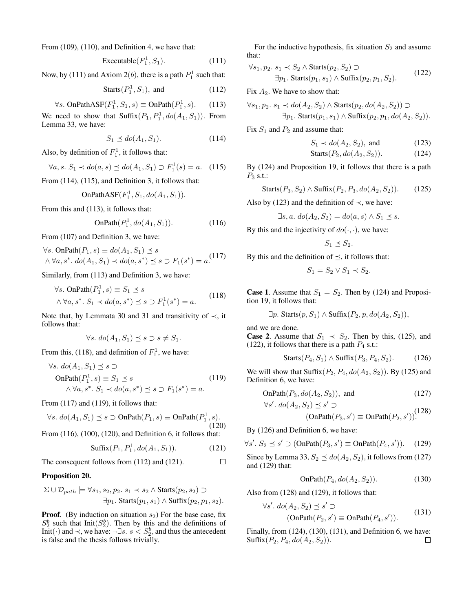From (109), (110), and Definition 4, we have that:

$$
\text{Executeable}(F_1^1, S_1). \tag{111}
$$

Now, by (111) and Axiom  $2(b)$ , there is a path  $P_1^1$  such that:

$$
Starts(P_1^1, S_1), and \t(112)
$$

$$
\forall s. \text{ OnPathASP}(F_1^1, S_1, s) \equiv \text{OnPath}(P_1^1, s). \tag{113}
$$

We need to show that  $\text{Suffix}(P_1, P_1^1, do(A_1, S_1))$ . From Lemma 33, we have:

$$
S_1 \preceq \text{do}(A_1, S_1). \tag{114}
$$

Also, by definition of  $F_1^1$ , it follows that:

$$
\forall a, s. \ S_1 \prec do(a, s) \preceq do(A_1, S_1) \supset F_1^1(s) = a. \tag{115}
$$

From (114), (115), and Definition 3, it follows that:

OnPathASF(
$$
F_1^1
$$
,  $S_1$ ,  $do(A_1, S_1)$ ).

From this and (113), it follows that:

$$
\text{OnPath}(P_1^1, do(A_1, S_1)).\tag{116}
$$

From (107) and Definition 3, we have:

$$
\forall s. \text{ OnPath}(P_1, s) \equiv do(A_1, S_1) \le s
$$
  

$$
\land \forall a, s^* \cdot do(A_1, S_1) \prec do(a, s^*) \le s \supset F_1(s^*) = a
$$
. (117)

Similarly, from (113) and Definition 3, we have:

$$
\forall s. \text{ OnPath}(P_1^1, s) \equiv S_1 \preceq s
$$
  

$$
\wedge \forall a, s^*. S_1 \prec do(a, s^*) \preceq s \supset F_1^1(s^*) = a.
$$
 (118)

Note that, by Lemmata 30 and 31 and transitivity of  $\prec$ , it follows that:

$$
\forall s. \, do(A_1, S_1) \preceq s \supset s \neq S_1.
$$

From this, (118), and definition of  $F_1^1$ , we have:

$$
\forall s. \, do(A_1, S_1) \preceq s \supset
$$
  
OnPath $(P_1^1, s) \equiv S_1 \preceq s$   
 $\land \forall a, s^*. S_1 \prec do(a, s^*) \preceq s \supset F_1(s^*) = a.$  (119)

From (117) and (119), it follows that:

$$
\forall s. \ do(A_1, S_1) \preceq s \supset \text{OnPath}(P_1, s) \equiv \text{OnPath}(P_1^1, s). \tag{120}
$$

From (116), (100), (120), and Definition 6, it follows that:

Suffix
$$
(P_1, P_1^1, do(A_1, S_1))
$$
. (121)

The consequent follows from (112) and (121).  $\Box$ 

#### Proposition 20.

$$
\Sigma \cup \mathcal{D}_{path} \models \forall s_1, s_2, p_2. s_1 \prec s_2 \land \text{Starts}(p_2, s_2) \supset
$$
  

$$
\exists p_1. \text{Starts}(p_1, s_1) \land \text{Suffix}(p_2, p_1, s_2).
$$

**Proof.** (By induction on situation  $s_2$ ) For the base case, fix  $S_2^b$  such that Init( $S_2^b$ ). Then by this and the definitions of Init(·) and ≺, we have: ¬∃s.  $s < S_2^b$ , and thus the antecedent is false and the thesis follows trivially.

For the inductive hypothesis, fix situation  $S_2$  and assume that:

$$
\forall s_1, p_2. s_1 \prec S_2 \land \text{Starts}(p_2, S_2) \supset
$$
  
\n
$$
\exists p_1. \text{Starts}(p_1, s_1) \land \text{Suffix}(p_2, p_1, S_2).
$$
\n(122)

Fix  $A_2$ . We have to show that:

$$
\forall s_1, p_2. s_1 \prec do(A_2, S_2) \land \text{Starts}(p_2, do(A_2, S_2)) \supset
$$
  

$$
\exists p_1. \text{Starts}(p_1, s_1) \land \text{Suffix}(p_2, p_1, do(A_2, S_2)).
$$

Fix  $S_1$  and  $P_2$  and assume that:

$$
S_1 \prec do(A_2, S_2), \text{ and } (123)
$$

$$
Starts(P_2, do(A_2, S_2)). \tag{124}
$$

By (124) and Proposition 19, it follows that there is a path  $P_3$  s.t.:

$$
Starts(P_3, S_2) \land \text{Suffix}(P_2, P_3, do(A_2, S_2)).\tag{125}
$$

Also by (123) and the definition of  $\prec$ , we have:

 $\exists s, a. \, do(A_2, S_2) = do(a, s) \wedge S_1 \preceq s.$ 

By this and the injectivity of  $do(·, ·)$ , we have:

$$
S_1 \preceq S_2.
$$

By this and the definition of  $\prec$ , it follows that:

$$
S_1 = S_2 \vee S_1 \prec S_2.
$$

**Case 1.** Assume that  $S_1 = S_2$ . Then by (124) and Proposition 19, it follows that:

$$
\exists p. \; \text{Starts}(p, S_1) \land \text{Suffix}(P_2, p, do(A_2, S_2)),
$$

and we are done.

**Case 2.** Assume that  $S_1 \prec S_2$ . Then by this, (125), and (122), it follows that there is a path  $P_4$  s.t.:

$$
Starts(P_4, S_1) \land Suffix(P_3, P_4, S_2). \tag{126}
$$

We will show that  $\text{Suffix}(P_2, P_4, do(A_2, S_2))$ . By (125) and Definition 6, we have:

OnPath
$$
(P_3, do(A_2, S_2))
$$
, and (127)

$$
\forall s'.\ do(A_2, S_2) \preceq s' \supset
$$
  
(OnPath $(P_3, s') \equiv$ OnPath $(P_2, s')$ )<sup>(128)</sup>

By (126) and Definition 6, we have:

$$
\forall s'. S_2 \preceq s' \supset (\text{OnPath}(P_3, s') \equiv \text{OnPath}(P_4, s')). \quad (129)
$$

Since by Lemma 33,  $S_2 \preceq do(A_2, S_2)$ , it follows from (127) and (129) that:

$$
OnPath(P_4, do(A_2, S_2)). \tag{130}
$$

Also from (128) and (129), it follows that:

$$
\forall s'. \ do(A_2, S_2) \preceq s' \supset
$$
  
(OnPath $(P_2, s') \equiv$ OnPath $(P_4, s')$ ). (131)

Finally, from (124), (130), (131), and Definition 6, we have: Suffix $(P_2, P_4, do(A_2, S_2)).$  $\Box$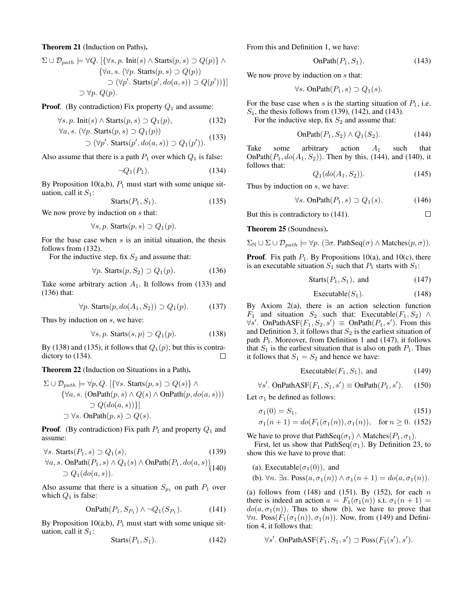Theorem 21 (Induction on Paths).

$$
\Sigma \cup \mathcal{D}_{path} \models \forall Q. \left[ \{ \forall s, p. \text{Init}(s) \land \text{Starts}(p, s) \supset Q(p) \} \land \right. \newline \{\forall a, s. (\forall p. \text{Starts}(p, s) \supset Q(p))\newline \supset (\forall p'. \text{Starts}(p', do(a, s)) \supset Q(p')) \} \right] \newline \supset \forall p. Q(p).
$$

**Proof.** (By contradiction) Fix property  $Q_1$  and assume:

$$
\forall s, p. \text{Init}(s) \land \text{Starts}(p, s) \supset Q_1(p), \tag{132}
$$

$$
\forall a, s. \ (\forall p. \ \mathsf{Starts}(p, s) \supset Q_1(p))
$$
  
 
$$
\supset (\forall p'. \ \mathsf{Starts}(p', do(a, s)) \supset Q_1(p')). \tag{133}
$$

Also assume that there is a path  $P_1$  over which  $Q_1$  is false:

$$
\neg Q_1(P_1). \tag{134}
$$

By Proposition 10(a,b),  $P_1$  must start with some unique situation, call it  $S_1$ :

$$
Starts(P_1, S_1). \t(135)
$$

We now prove by induction on  $s$  that:

$$
\forall s, p. \text{Starts}(p, s) \supset Q_1(p).
$$

For the base case when  $s$  is an initial situation, the thesis follows from (132).

For the inductive step, fix  $S_2$  and assume that:

$$
\forall p. \text{Starts}(p, S_2) \supset Q_1(p). \tag{136}
$$

Take some arbitrary action  $A_1$ . It follows from (133) and (136) that:

$$
\forall p. \text{Starts}(p, do(A_1, S_2)) \supset Q_1(p). \tag{137}
$$

Thus by induction on s, we have:

$$
\forall s, p. \text{Starts}(s, p) \supset Q_1(p). \tag{138}
$$

By (138) and (135), it follows that  $Q_1(p)$ ; but this is contradictory to (134).  $\Box$ 

Theorem 22 (Induction on Situations in a Path).

$$
\Sigma \cup \mathcal{D}_{path} \models \forall p, Q. \ [\{\forall s. \ \text{Starts}(p, s) \supset Q(s)\} \land \{\forall a, s. \ \text{(OnPath}(p, s) \land Q(s) \land \text{OnPath}(p, do(a, s))\} \supset Q(do(a, s))\}]
$$
  

$$
\supset \forall s. \ \text{OnPath}(p, s) \supset Q(s).
$$

**Proof.** (By contradiction) Fix path  $P_1$  and property  $Q_1$  and assume:

$$
\forall s. \text{Starts}(P_1, s) \supset Q_1(s), \tag{139}
$$

$$
\forall a, s. \text{ OnPath}(P_1, s) \land Q_1(s) \land \text{OnPath}(P_1, do(a, s))
$$
  
\n
$$
\supset Q_1(do(a, s)).
$$

Also assume that there is a situation  $S_{p_1}$  on path  $P_1$  over which  $Q_1$  is false:

$$
\text{OnPath}(P_1, S_{P_1}) \land \neg Q_1(S_{P_1}).\tag{141}
$$

By Proposition 10(a,b),  $P_1$  must start with some unique situation, call it  $S_1$ :

$$
Starts(P_1, S_1). \t(142)
$$

From this and Definition 1, we have:

$$
OnPath(P_1, S_1). \t(143)
$$

We now prove by induction on s that:

$$
\forall s. \text{ OnPath}(P_1, s) \supset Q_1(s).
$$

For the base case when s is the starting situation of  $P_1$ , i.e.  $S_1$ , the thesis follows from (139), (142), and (143).

For the inductive step, fix  $S_2$  and assume that:

$$
\text{OnPath}(P_1, S_2) \land Q_1(S_2). \tag{144}
$$

Take some arbitrary action  $A_1$  such that OnPath $(P_1, do(A_1, S_2))$ . Then by this, (144), and (140), it follows that:

$$
Q_1(do(A_1, S_2)). \t(145)
$$

 $\Box$ 

Thus by induction on s, we have:

$$
\forall s. \text{ OnPath}(P_1, s) \supset Q_1(s). \tag{146}
$$

But this is contradictory to (141).

Theorem 25 (Soundness).

 $\Sigma_{\mathbb{N}} \cup \Sigma \cup \mathcal{D}_{path} \models \forall p. (\exists \sigma. \text{ PathSeq}(\sigma) \land \text{Matches}(p, \sigma)).$ 

**Proof**. Fix path  $P_1$ . By Propositions 10(a), and 10(c), there is an executable situation  $S_1$  such that  $P_1$  starts with  $S_1$ :

$$
Starts(P_1, S_1), and \t(147)
$$

$$
Executeable(S_1). \t(148)
$$

By Axiom 2(a), there is an action selection function  $F_1$  and situation  $S_2$  such that: Executable( $F_1, S_2$ ) ∧  $\forall s'$ . OnPathASF $(F_1, S_2, s') \equiv$  OnPath $(P_1, s')$ . From this and Definition 3, it follows that  $S_2$  is the earliest situation of path  $P_1$ . Moreover, from Definition 1 and (147), it follows that  $S_1$  is the earliest situation that is also on path  $P_1$ . Thus it follows that  $S_1 = S_2$  and hence we have:

$$
Executeable(F_1, S_1), and \t(149)
$$

$$
\forall s'. OnPathASF(F_1, S_1, s') \equiv OnPath(P_1, s'). \quad (150)
$$

Let  $\sigma_1$  be defined as follows:

$$
\sigma_1(0) = S_1,\tag{151}
$$

$$
\sigma_1(n+1) = do(F_1(\sigma_1(n)), \sigma_1(n)), \text{ for } n \ge 0.
$$
 (152)

We have to prove that PathSeq( $\sigma_1$ ) ∧ Matches( $P_1, \sigma_1$ ).

First, let us show that PathSeq( $\sigma_1$ ). By Definition 23, to show this we have to prove that:

(a). Executable( $\sigma_1(0)$ ), and

(b). 
$$
\forall n. \exists a. \text{Poss}(a, \sigma_1(n)) \land \sigma_1(n+1) = do(a, \sigma_1(n)).
$$

(a) follows from  $(148)$  and  $(151)$ . By  $(152)$ , for each n there is indeed an action  $a = F_1(\sigma_1(n))$  s.t.  $\sigma_1(n + 1) =$  $do(a, \sigma_1(n))$ . Thus to show (b), we have to prove that  $\forall n$ . Poss $(F_1(\sigma_1(n)), \sigma_1(n))$ . Now, from (149) and Definition 4, it follows that:

$$
\forall s'.\;OnPathASF(F_1, S_1, s') \supset Poss(F_1(s'), s').
$$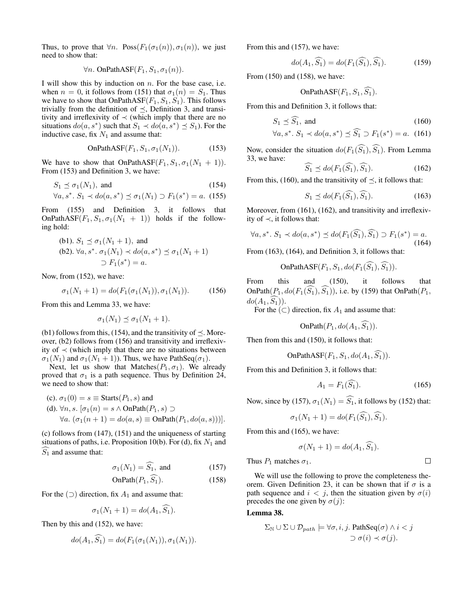Thus, to prove that  $\forall n$ . Poss $(F_1(\sigma_1(n)), \sigma_1(n))$ , we just need to show that:

$$
\forall n. \text{ OnPathASE}(F_1, S_1, \sigma_1(n)).
$$

I will show this by induction on  $n$ . For the base case, i.e. when  $n = 0$ , it follows from (151) that  $\sigma_1(n) = S_1$ . Thus we have to show that  $OnPathASF(F_1, S_1, S_1)$ . This follows trivially from the definition of  $\preceq$ , Definition 3, and transitivity and irreflexivity of  $\prec$  (which imply that there are no situations  $do(a, s^*)$  such that  $S_1 \prec do(a, s^*) \preceq S_1$ ). For the inductive case, fix  $N_1$  and assume that:

OnPathASF
$$
(F_1, S_1, \sigma_1(N_1))
$$
. (153)

We have to show that OnPathASF( $F_1, S_1, \sigma_1(N_1 + 1)$ ). From (153) and Definition 3, we have:

$$
S_1 \preceq \sigma_1(N_1), \text{ and } (154)
$$

$$
\forall a, s^*. S_1 \prec do(a, s^*) \leq \sigma_1(N_1) \supset F_1(s^*) = a. \tag{155}
$$

From (155) and Definition 3, it follows that OnPathASF( $F_1, S_1, \sigma_1(N_1 + 1)$ ) holds if the following hold:

(b1). 
$$
S_1 \preceq \sigma_1(N_1 + 1)
$$
, and  
(b2).  $\forall a, s^* \, \sigma_1(N_1) \prec do(a, s^*) \preceq \sigma_1(N_1 + 1)$   
 $\supset F_1(s^*) = a$ .

Now, from (152), we have:

$$
\sigma_1(N_1+1) = do(F_1(\sigma_1(N_1)), \sigma_1(N_1)). \tag{156}
$$

From this and Lemma 33, we have:

$$
\sigma_1(N_1) \preceq \sigma_1(N_1 + 1).
$$

(b1) follows from this, (154), and the transitivity of  $\preceq$ . Moreover, (b2) follows from (156) and transitivity and irreflexivity of  $\prec$  (which imply that there are no situations between  $\sigma_1(N_1)$  and  $\sigma_1(N_1 + 1)$ ). Thus, we have PathSeq( $\sigma_1$ ).

Next, let us show that Matches $(P_1, \sigma_1)$ . We already proved that  $\sigma_1$  is a path sequence. Thus by Definition 24, we need to show that:

(c). 
$$
\sigma_1(0) = s \equiv \text{Starts}(P_1, s)
$$
 and  
(d).  $\forall n, s. [\sigma_1(n) = s \land \text{OnPath}(P_1, s) \supset$   
 $\forall a. (\sigma_1(n + 1) = do(a, s) \equiv \text{OnPath}(P_1, do(a, s)))].$ 

(c) follows from (147), (151) and the uniqueness of starting situations of paths, i.e. Proposition 10(b). For (d), fix  $N_1$  and  $\widehat{S_1}$  and assume that:

$$
\sigma_1(N_1) = \widehat{S_1}, \text{ and } \tag{157}
$$

$$
\text{OnPath}(P_1, S_1). \tag{158}
$$

For the  $($ ) direction, fix  $A_1$  and assume that:

$$
\sigma_1(N_1 + 1) = \text{do}(A_1, S_1).
$$

Then by this and (152), we have:

$$
do(A_1, S_1) = do(F_1(\sigma_1(N_1)), \sigma_1(N_1)).
$$

From this and (157), we have:

$$
do(A_1, \widehat{S_1}) = do(F_1(\widehat{S_1}), \widehat{S_1}).
$$
\n(159)

From (150) and (158), we have:

OnPathASF
$$
(F_1, S_1, S_1)
$$
.

From this and Definition 3, it follows that:

$$
S_1 \preceq \widehat{S_1}, \text{ and } (160)
$$

$$
\forall a, s^*. S_1 \prec do(a, s^*) \le \widehat{S_1} \supset F_1(s^*) = a. \tag{161}
$$

Now, consider the situation  $do(F_1(\widehat{S_1}), \widehat{S_1})$ . From Lemma 33, we have:

$$
S_1 \preceq do(F_1(S_1), S_1). \tag{162}
$$

From this, (160), and the transitivity of  $\prec$ , it follows that:

$$
S_1 \preceq do(F_1(\widehat{S_1}), \widehat{S_1}).\tag{163}
$$

Moreover, from (161), (162), and transitivity and irreflexivity of ≺, it follows that:

$$
\forall a, s^*. S_1 \prec do(a, s^*) \preceq do(F_1(\widehat{S_1}), \widehat{S_1}) \supset F_1(s^*) = a. \tag{164}
$$

From (163), (164), and Definition 3, it follows that:

OnPathASF
$$
(F_1, S_1, do(F_1(S_1), S_1)).
$$

From this and (150), it follows that OnPath $(P_1, do(F_1(S_1), S_1))$ , i.e. by (159) that OnPath $(P_1,$  $do(A_1, \widehat{S_1})$ ).

For the  $(\subset)$  direction, fix  $A_1$  and assume that:

OnPath
$$
(P_1, do(A_1, S_1))
$$
.

Then from this and (150), it follows that:

OnPathASF
$$
(F_1, S_1, do(A_1, S_1))
$$
.

From this and Definition 3, it follows that:

$$
A_1 = F_1(\widehat{S_1}).\tag{165}
$$

Now, since by (157),  $\sigma_1(N_1) = \widehat{S_1}$ , it follows by (152) that:

$$
\sigma_1(N_1+1) = do(F_1(S_1), S_1).
$$

From this and (165), we have:

$$
\sigma(N_1+1) = do(A_1, S_1).
$$

Thus  $P_1$  matches  $\sigma_1$ .

 $\Box$ 

We will use the following to prove the completeness theorem. Given Definition 23, it can be shown that if  $\sigma$  is a path sequence and  $i < j$ , then the situation given by  $\sigma(i)$ precedes the one given by  $\sigma(j)$ :

Lemma 38.

$$
\Sigma_{\mathbb{N}} \cup \Sigma \cup \mathcal{D}_{path} \models \forall \sigma, i, j. \ \mathsf{PathSeq}(\sigma) \land i < j
$$
\n
$$
\supset \sigma(i) \prec \sigma(j).
$$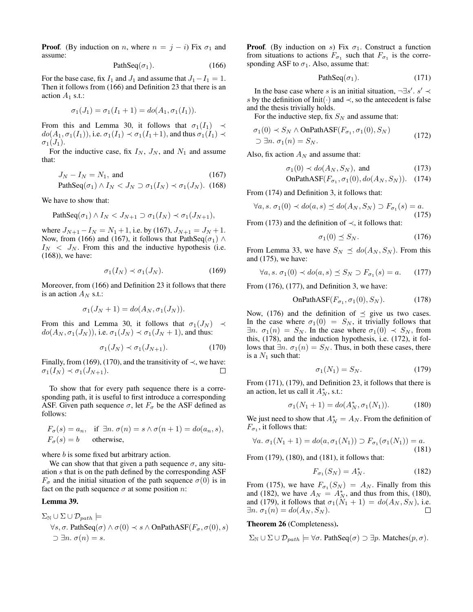**Proof.** (By induction on *n*, where  $n = j - i$ ) Fix  $\sigma_1$  and assume:

$$
PathSeq(\sigma_1). \tag{166}
$$

For the base case, fix  $I_1$  and  $J_1$  and assume that  $J_1-I_1 = 1$ . Then it follows from (166) and Definition 23 that there is an action  $A_1$  s.t.:

$$
\sigma_1(J_1) = \sigma_1(I_1 + 1) = \text{do}(A_1, \sigma_1(I_1)).
$$

From this and Lemma 30, it follows that  $\sigma_1(I_1) \prec$  $do(A_1, \sigma_1(I_1)),$  i.e.  $\sigma_1(I_1) \prec \sigma_1(I_1+1)$ , and thus  $\sigma_1(I_1) \prec$  $\sigma_1(J_1)$ .

For the inductive case, fix  $I_N$ ,  $J_N$ , and  $N_1$  and assume that:

$$
J_N - I_N = N_1, \text{ and } (167)
$$
  
PathSeq( $\sigma_1$ )  $\wedge$   $I_N < J_N \supset \sigma_1(I_N) \prec \sigma_1(J_N)$ . (168)

We have to show that:

PathSeq(
$$
\sigma_1
$$
)  $\wedge$   $I_N < J_{N+1} \supset \sigma_1(I_N) \prec \sigma_1(J_{N+1}),$ 

where  $J_{N+1} - I_N = N_1 + 1$ , i.e. by (167),  $J_{N+1} = J_N + 1$ . Now, from (166) and (167), it follows that PathSeq( $\sigma_1$ ) ∧  $I_N < J_N$ . From this and the inductive hypothesis (i.e. (168)), we have:

$$
\sigma_1(I_N) \prec \sigma_1(J_N). \tag{169}
$$

Moreover, from (166) and Definition 23 it follows that there is an action  $A_N$  s.t.:

$$
\sigma_1(J_N+1) = do(A_N, \sigma_1(J_N)).
$$

From this and Lemma 30, it follows that  $\sigma_1(J_N) \prec$  $do(A_N, \sigma_1(J_N))$ , i.e.  $\sigma_1(J_N) \prec \sigma_1(J_N + 1)$ , and thus:

$$
\sigma_1(J_N) \prec \sigma_1(J_{N+1}). \tag{170}
$$

Finally, from (169), (170), and the transitivity of  $\prec$ , we have:  $\sigma_1(I_N) \prec \sigma_1(J_{N+1}).$ П

To show that for every path sequence there is a corresponding path, it is useful to first introduce a corresponding ASF. Given path sequence  $\sigma$ , let  $F_{\sigma}$  be the ASF defined as follows:

$$
F_{\sigma}(s) = a_n
$$
, if  $\exists n. \sigma(n) = s \land \sigma(n+1) = do(a_n, s)$ ,  
\n $F_{\sigma}(s) = b$  otherwise,

where *b* is some fixed but arbitrary action.

We can show that that given a path sequence  $\sigma$ , any situation s that is on the path defined by the corresponding ASF  $F_{\sigma}$  and the initial situation of the path sequence  $\sigma(0)$  is in fact on the path sequence  $\sigma$  at some position *n*:

#### Lemma 39.

$$
\Sigma_{\mathbb{N}} \cup \Sigma \cup \mathcal{D}_{path} \models
$$
  
\n
$$
\forall s, \sigma. \ \text{PathSeq}(\sigma) \land \sigma(0) \prec s \land \text{OnPathASP}(F_{\sigma}, \sigma(0), s)
$$
  
\n
$$
\supset \exists n. \ \sigma(n) = s.
$$

**Proof.** (By induction on s) Fix  $\sigma_1$ . Construct a function from situations to actions  $F_{\sigma_1}$  such that  $F_{\sigma_1}$  is the corresponding ASF to  $\sigma_1$ . Also, assume that:

$$
PathSeq(\sigma_1). \tag{171}
$$

In the base case where s is an initial situation,  $\neg \exists s'. s' \prec$ s by the definition of Init(·) and  $\prec$ , so the antecedent is false and the thesis trivially holds.

For the inductive step, fix  $S_N$  and assume that:

$$
\sigma_1(0) \prec S_N \wedge \text{OnPathASF}(F_{\sigma_1}, \sigma_1(0), S_N)
$$
  

$$
\supset \exists n. \sigma_1(n) = S_N.
$$
 (172)

Also, fix action  $A_N$  and assume that:

$$
\sigma_1(0) \prec do(A_N, S_N), \text{ and } (173)
$$

OnPathASF
$$
(F_{\sigma_1}, \sigma_1(0), do(A_N, S_N))
$$
. (174)

From (174) and Definition 3, it follows that:

$$
\forall a, s. \ \sigma_1(0) \prec do(a, s) \preceq do(A_N, S_N) \supset F_{\sigma_1}(s) = a. \tag{175}
$$

From (173) and the definition of  $\prec$ , it follows that:

$$
\sigma_1(0) \preceq S_N. \tag{176}
$$

From Lemma 33, we have  $S_N \preceq do(A_N, S_N)$ . From this and (175), we have:

$$
\forall a, s. \ \sigma_1(0) \prec do(a, s) \preceq S_N \supset F_{\sigma_1}(s) = a. \tag{177}
$$

From (176), (177), and Definition 3, we have:

OnPathASF
$$
(F_{\sigma_1}, \sigma_1(0), S_N)
$$
. (178)

Now, (176) and the definition of  $\preceq$  give us two cases. In the case where  $\sigma_1(0) = S_N$ , it trivially follows that  $\exists n. \ \sigma_1(n) = S_N$ . In the case where  $\sigma_1(0) \prec S_N$ , from this, (178), and the induction hypothesis, i.e. (172), it follows that  $\exists n$ .  $\sigma_1(n) = S_N$ . Thus, in both these cases, there is a  $N_1$  such that:

$$
\sigma_1(N_1) = S_N. \tag{179}
$$

From (171), (179), and Definition 23, it follows that there is an action, let us call it  $A_N^*$ , s.t.:

$$
\sigma_1(N_1+1) = do(A_N^*, \sigma_1(N_1)). \tag{180}
$$

We just need to show that  $A_N^* = A_N$ . From the definition of  $F_{\sigma_1}$ , it follows that:

$$
\forall a. \ \sigma_1(N_1+1) = do(a, \sigma_1(N_1)) \supset F_{\sigma_1}(\sigma_1(N_1)) = a.
$$
\n(181)

From (179), (180), and (181), it follows that:

$$
F_{\sigma_1}(S_N) = A_N^*.
$$
\n(182)

From (175), we have  $F_{\sigma_1}(S_N) = A_N$ . Finally from this and (182), we have  $A_N = A_N^*$ , and thus from this, (180), and (179), it follows that  $\sigma_1(\tilde{N}_1 + 1) = do(A_N, S_N)$ , i.e.<br> $\exists n, \sigma_1(n) = do(A_N, S_N)$ .  $\exists n. \sigma_1(n) = do(A_N, S_N).$ 

#### Theorem 26 (Completeness).

$$
\Sigma_{\mathbb{N}} \cup \Sigma \cup \mathcal{D}_{path} \models \forall \sigma.
$$
 PathSeq( $\sigma$ )  $\supset \exists p.$  Matches( $p, \sigma$ ).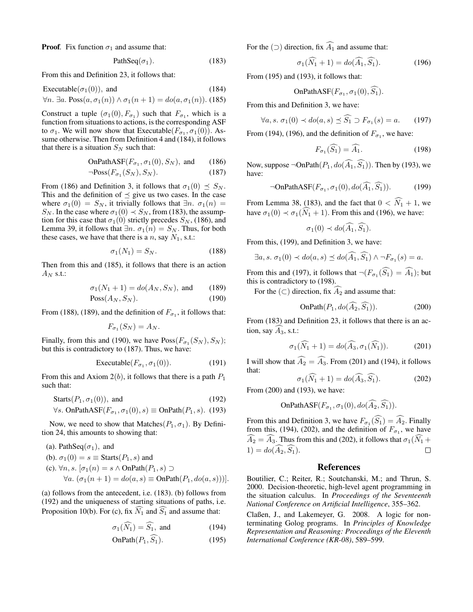**Proof.** Fix function  $\sigma_1$  and assume that:

$$
PathSeq(\sigma_1). \tag{183}
$$

From this and Definition 23, it follows that:

$$
Execute(\sigma_1(0)), \text{ and } (184)
$$

 $\forall n. \exists a. \text{Poss}(a, \sigma_1(n)) \wedge \sigma_1(n+1) = do(a, \sigma_1(n)).$  (185)

Construct a tuple  $(\sigma_1(0), F_{\sigma_1})$  such that  $F_{\sigma_1}$ , which is a function from situations to actions, is the corresponding ASF to  $\sigma_1$ . We will now show that Executable  $(F_{\sigma_1}, \sigma_1(0))$ . Assume otherwise. Then from Definition 4 and (184), it follows that there is a situation  $S_N$  such that:

OnPathASF(
$$
F_{\sigma_1}
$$
,  $\sigma_1(0)$ ,  $S_N$ ), and (186)

$$
\neg \text{Poss}(F_{\sigma_1}(S_N), S_N). \tag{187}
$$

From (186) and Definition 3, it follows that  $\sigma_1(0) \preceq S_N$ . This and the definition of  $\preceq$  give us two cases. In the case where  $\sigma_1(0) = S_N$ , it trivially follows that  $\exists n \cdot \sigma_1(n) =$  $S_N$ . In the case where  $\sigma_1(0) \prec S_N$ , from (183), the assumption for this case that  $\sigma_1(0)$  strictly precedes  $S_N$ , (186), and Lemma 39, it follows that  $\exists n. \sigma_1(n) = S_N$ . Thus, for both these cases, we have that there is a  $n$ , say  $N_1$ , s.t.:

$$
\sigma_1(N_1) = S_N. \tag{188}
$$

Then from this and (185), it follows that there is an action  $A_N$  s.t.:

$$
\sigma_1(N_1 + 1) = do(A_N, S_N)
$$
, and (189)

$$
\text{Poss}(A_N, S_N). \tag{190}
$$

From (188), (189), and the definition of  $F_{\sigma_1}$ , it follows that:

$$
F_{\sigma_1}(S_N) = A_N.
$$

Finally, from this and (190), we have  $Poss(F_{\sigma_1}(S_N), S_N)$ ; but this is contradictory to (187). Thus, we have:

$$
\text{Executeable}(F_{\sigma_1}, \sigma_1(0)).\tag{191}
$$

From this and Axiom  $2(b)$ , it follows that there is a path  $P_1$ such that:

$$
Starts(P_1, \sigma_1(0)), and \t(192)
$$

$$
\forall s. \text{ OnPathASE}(F_{\sigma_1}, \sigma_1(0), s) \equiv \text{OnPath}(P_1, s). \tag{193}
$$

Now, we need to show that Matches $(P_1, \sigma_1)$ . By Definition 24, this amounts to showing that:

\n- (a). PathSeq(
$$
\sigma_1
$$
), and
\n- (b).  $\sigma_1(0) = s \equiv \text{Starts}(P_1, s)$  and
\n- (c).  $\forall n, s$ .  $[\sigma_1(n) = s \land \text{OnPath}(P_1, s) \supset \forall a$ .  $(\sigma_1(n+1) = \text{do}(a, s) \equiv \text{OnPath}(P_1, \text{do}(a, s)))]$ .
\n

(a) follows from the antecedent, i.e. (183). (b) follows from (192) and the uniqueness of starting situations of paths, i.e. Proposition 10(b). For (c), fix  $\widehat{N_1}$  and  $\widehat{S_1}$  and assume that:

$$
\sigma_1(\widehat{N_1}) = \widehat{S_1}, \text{ and } (194)
$$

$$
\operatorname{OnPath}(P_1, S_1). \tag{195}
$$

For the ( $\supset$ ) direction, fix  $\widehat{A_1}$  and assume that:

$$
\sigma_1(\tilde{N}_1 + 1) = do(\tilde{A}_1, \tilde{S}_1).
$$
 (196)

From (195) and (193), it follows that:

OnPathASF(
$$
F_{\sigma_1}, \sigma_1(0), S_1
$$
).

From this and Definition 3, we have:

$$
\forall a, s. \ \sigma_1(0) \prec do(a, s) \preceq \widehat{S_1} \supset F_{\sigma_1}(s) = a. \tag{197}
$$

From (194), (196), and the definition of  $F_{\sigma_1}$ , we have:

$$
F_{\sigma_1}(\widehat{S_1}) = \widehat{A_1}.\tag{198}
$$

Now, suppose  $\neg$ OnPath $(P_1, do(\widehat{A_1}, \widehat{S_1}))$ . Then by (193), we have:

$$
\neg \mathsf{OnPathASE}(F_{\sigma_1}, \sigma_1(0), do(\widehat{A}_1, \widehat{S}_1)).\tag{199}
$$

From Lemma 38, (183), and the fact that  $0 < \widehat{N}_1 + 1$ , we have  $\sigma_1(0) \prec \sigma_1(\widehat{N}_1 + 1)$ . From this and (196), we have:

$$
\sigma_1(0) \prec do(\widehat{A_1}, \widehat{S_1}).
$$

From this, (199), and Definition 3, we have:

$$
\exists a, s. \ \sigma_1(0) \prec do(a, s) \preceq do(\widehat{A}_1, \widehat{S}_1) \land \neg F_{\sigma_1}(s) = a.
$$

From this and (197), it follows that  $\neg(F_{\sigma_1}(S_1) = A_1)$ ; but this is contradictory to (198).

For the  $(\subset)$  direction, fix  $\widehat{A_2}$  and assume that:

$$
\operatorname{OnPath}(P_1, do(A_2, S_1)).\tag{200}
$$

From (183) and Definition 23, it follows that there is an action, say  $A_3$ , s.t.:

$$
\sigma_1(\widehat{N}_1 + 1) = do(\widehat{A}_3, \sigma_1(\widehat{N}_1)).\tag{201}
$$

I will show that  $\widehat{A_2} = \widehat{A_3}$ . From (201) and (194), it follows that:

$$
\sigma_1(N_1 + 1) = do(A_3, S_1). \tag{202}
$$

From (200) and (193), we have:

OnPathASF(
$$
F_{\sigma_1}
$$
,  $\sigma_1(0)$ ,  $do(A_2, S_1)$ ).

From this and Definition 3, we have  $F_{\sigma_1}(S_1) = A_2$ . Finally from this, (194), (202), and the definition of  $F_{\sigma_1}$ , we have  $\widehat{A}_2 = \widehat{A}_3$ . Thus from this and (202), it follows that  $\sigma_1(\widehat{N}_1 + 1) = d_0(\widehat{A}_2, \widehat{S}_1)$ .  $1) = do(\widehat{A_2}, \widehat{S_1}).$ 

#### References

Boutilier, C.; Reiter, R.; Soutchanski, M.; and Thrun, S. 2000. Decision-theoretic, high-level agent programming in the situation calculus. In *Proceedings of the Seventeenth National Conference on Artificial Intelligence*, 355–362.

Claßen, J., and Lakemeyer, G. 2008. A logic for nonterminating Golog programs. In *Principles of Knowledge Representation and Reasoning: Proceedings of the Eleventh International Conference (KR-08)*, 589–599.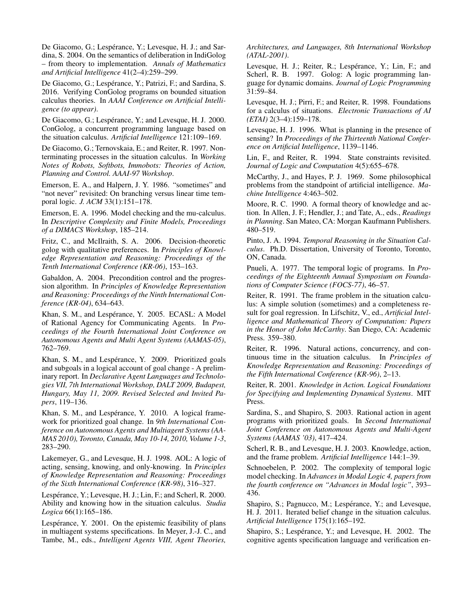De Giacomo, G.; Lespérance, Y.; Levesque, H. J.; and Sardina, S. 2004. On the semantics of deliberation in IndiGolog – from theory to implementation. *Annals of Mathematics and Artificial Intelligence* 41(2–4):259–299.

De Giacomo, G.; Lespérance, Y.; Patrizi, F.; and Sardina, S. 2016. Verifying ConGolog programs on bounded situation calculus theories. In *AAAI Conference on Artificial Intelligence (to appear)*.

De Giacomo, G.; Lespérance, Y.; and Levesque, H. J. 2000. ConGolog, a concurrent programming language based on the situation calculus. *Artificial Intelligence* 121:109–169.

De Giacomo, G.; Ternovskaia, E.; and Reiter, R. 1997. Nonterminating processes in the situation calculus. In *Working Notes of Robots, Softbots, Immobots: Theories of Action, Planning and Control. AAAI-97 Workshop*.

Emerson, E. A., and Halpern, J. Y. 1986. "sometimes" and "not never" revisited: On branching versus linear time temporal logic. *J. ACM* 33(1):151–178.

Emerson, E. A. 1996. Model checking and the mu-calculus. In *Descriptive Complexity and Finite Models, Proceedings of a DIMACS Workshop*, 185–214.

Fritz, C., and McIlraith, S. A. 2006. Decision-theoretic golog with qualitative preferences. In *Principles of Knowledge Representation and Reasoning: Proceedings of the Tenth International Conference (KR-06)*, 153–163.

Gabaldon, A. 2004. Precondition control and the progression algorithm. In *Principles of Knowledge Representation and Reasoning: Proceedings of the Ninth International Conference (KR-04)*, 634–643.

Khan, S. M., and Lespérance, Y. 2005. ECASL: A Model of Rational Agency for Communicating Agents. In *Proceedings of the Fourth International Joint Conference on Autonomous Agents and Multi Agent Systems (AAMAS-05)*, 762–769.

Khan, S. M., and Lespérance, Y. 2009. Prioritized goals and subgoals in a logical account of goal change - A preliminary report. In *Declarative Agent Languages and Technologies VII, 7th International Workshop, DALT 2009, Budapest, Hungary, May 11, 2009. Revised Selected and Invited Papers*, 119–136.

Khan, S. M., and Lespérance, Y. 2010. A logical framework for prioritized goal change. In *9th International Conference on Autonomous Agents and Multiagent Systems (AA-MAS 2010), Toronto, Canada, May 10-14, 2010, Volume 1-3*, 283–290.

Lakemeyer, G., and Levesque, H. J. 1998. AOL: A logic of acting, sensing, knowing, and only-knowing. In *Principles of Knowledge Representation and Reasoning: Proceedings of the Sixth International Conference (KR-98)*, 316–327.

Lespérance, Y.; Levesque, H. J.; Lin, F.; and Scherl, R. 2000. Ability and knowing how in the situation calculus. *Studia Logica* 66(1):165–186.

Lespérance, Y. 2001. On the epistemic feasibility of plans in multiagent systems specifications. In Meyer, J.-J. C., and Tambe, M., eds., *Intelligent Agents VIII, Agent Theories,*

*Architectures, and Languages, 8th International Workshop (ATAL-2001)*.

Levesque, H. J.; Reiter, R.; Lespérance, Y.; Lin, F.; and Scherl, R. B. 1997. Golog: A logic programming language for dynamic domains. *Journal of Logic Programming* 31:59–84.

Levesque, H. J.; Pirri, F.; and Reiter, R. 1998. Foundations for a calculus of situations. *Electronic Transactions of AI (ETAI)* 2(3–4):159–178.

Levesque, H. J. 1996. What is planning in the presence of sensing? In *Proceedings of the Thirteenth National Conference on Artificial Intelligence*, 1139–1146.

Lin, F., and Reiter, R. 1994. State constraints revisited. *Journal of Logic and Computation* 4(5):655–678.

McCarthy, J., and Hayes, P. J. 1969. Some philosophical problems from the standpoint of artificial intelligence. *Machine Intelligence* 4:463–502.

Moore, R. C. 1990. A formal theory of knowledge and action. In Allen, J. F.; Hendler, J.; and Tate, A., eds., *Readings in Planning*. San Mateo, CA: Morgan Kaufmann Publishers. 480–519.

Pinto, J. A. 1994. *Temporal Reasoning in the Situation Calculus*. Ph.D. Dissertation, University of Toronto, Toronto, ON, Canada.

Pnueli, A. 1977. The temporal logic of programs. In *Proceedings of the Eighteenth Annual Symposium on Foundations of Computer Science (FOCS-77)*, 46–57.

Reiter, R. 1991. The frame problem in the situation calculus: A simple solution (sometimes) and a completeness result for goal regression. In Lifschitz, V., ed., *Artificial Intelligence and Mathematical Theory of Computation: Papers in the Honor of John McCarthy*. San Diego, CA: Academic Press. 359–380.

Reiter, R. 1996. Natural actions, concurrency, and continuous time in the situation calculus. In *Principles of Knowledge Representation and Reasoning: Proceedings of the Fifth International Conference (KR-96)*, 2–13.

Reiter, R. 2001. *Knowledge in Action. Logical Foundations for Specifying and Implementing Dynamical Systems*. MIT Press.

Sardina, S., and Shapiro, S. 2003. Rational action in agent programs with prioritized goals. In *Second International Joint Conference on Autonomous Agents and Multi-Agent Systems (AAMAS '03)*, 417–424.

Scherl, R. B., and Levesque, H. J. 2003. Knowledge, action, and the frame problem. *Artificial Intelligence* 144:1–39.

Schnoebelen, P. 2002. The complexity of temporal logic model checking. In *Advances in Modal Logic 4, papers from the fourth conference on "Advances in Modal logic"*, 393– 436.

Shapiro, S.; Pagnucco, M.; Lespérance, Y.; and Levesque, H. J. 2011. Iterated belief change in the situation calculus. *Artificial Intelligence* 175(1):165–192.

Shapiro, S.; Lespérance, Y.; and Levesque, H. 2002. The cognitive agents specification language and verification en-